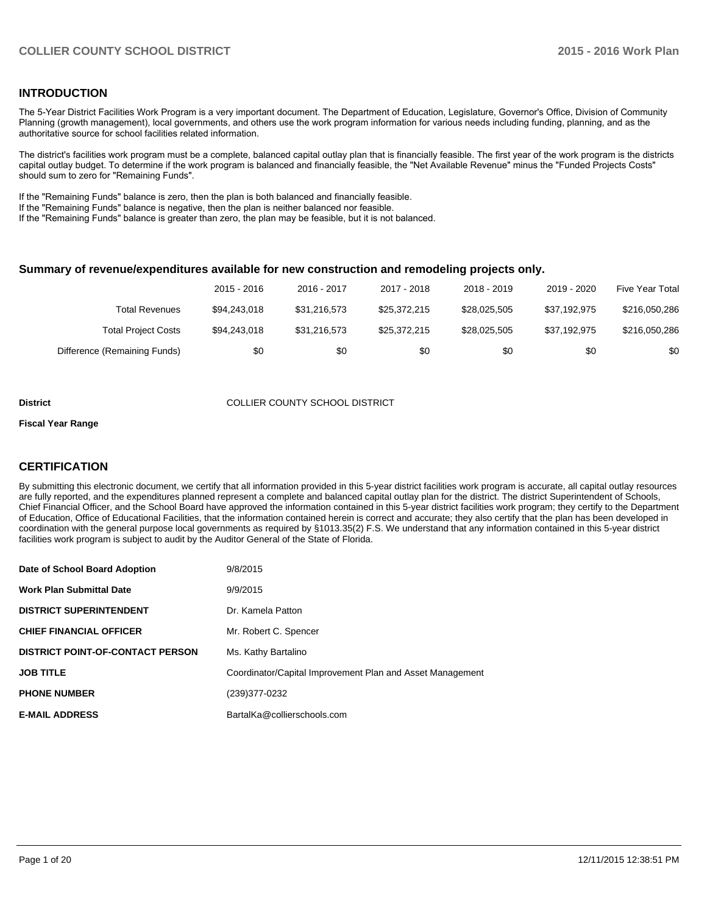#### **INTRODUCTION**

The 5-Year District Facilities Work Program is a very important document. The Department of Education, Legislature, Governor's Office, Division of Community Planning (growth management), local governments, and others use the work program information for various needs including funding, planning, and as the authoritative source for school facilities related information.

The district's facilities work program must be a complete, balanced capital outlay plan that is financially feasible. The first year of the work program is the districts capital outlay budget. To determine if the work program is balanced and financially feasible, the "Net Available Revenue" minus the "Funded Projects Costs" should sum to zero for "Remaining Funds".

If the "Remaining Funds" balance is zero, then the plan is both balanced and financially feasible.

If the "Remaining Funds" balance is negative, then the plan is neither balanced nor feasible.

If the "Remaining Funds" balance is greater than zero, the plan may be feasible, but it is not balanced.

#### **Summary of revenue/expenditures available for new construction and remodeling projects only.**

|                              | 2015 - 2016  | 2016 - 2017  | 2017 - 2018  | 2018 - 2019  | 2019 - 2020  | Five Year Total |
|------------------------------|--------------|--------------|--------------|--------------|--------------|-----------------|
| <b>Total Revenues</b>        | \$94,243,018 | \$31.216.573 | \$25,372,215 | \$28.025.505 | \$37,192,975 | \$216,050,286   |
| <b>Total Project Costs</b>   | \$94,243,018 | \$31.216.573 | \$25,372,215 | \$28.025.505 | \$37,192,975 | \$216,050,286   |
| Difference (Remaining Funds) | \$0          | \$0          | \$0          | \$0          | \$0          | \$0             |

#### **District COLLIER COUNTY SCHOOL DISTRICT**

#### **Fiscal Year Range**

### **CERTIFICATION**

By submitting this electronic document, we certify that all information provided in this 5-year district facilities work program is accurate, all capital outlay resources are fully reported, and the expenditures planned represent a complete and balanced capital outlay plan for the district. The district Superintendent of Schools, Chief Financial Officer, and the School Board have approved the information contained in this 5-year district facilities work program; they certify to the Department of Education, Office of Educational Facilities, that the information contained herein is correct and accurate; they also certify that the plan has been developed in coordination with the general purpose local governments as required by §1013.35(2) F.S. We understand that any information contained in this 5-year district facilities work program is subject to audit by the Auditor General of the State of Florida.

| Date of School Board Adoption           | 9/8/2015                                                  |
|-----------------------------------------|-----------------------------------------------------------|
| <b>Work Plan Submittal Date</b>         | 9/9/2015                                                  |
| <b>DISTRICT SUPERINTENDENT</b>          | Dr. Kamela Patton                                         |
| <b>CHIEF FINANCIAL OFFICER</b>          | Mr. Robert C. Spencer                                     |
| <b>DISTRICT POINT-OF-CONTACT PERSON</b> | Ms. Kathy Bartalino                                       |
| <b>JOB TITLE</b>                        | Coordinator/Capital Improvement Plan and Asset Management |
| <b>PHONE NUMBER</b>                     | (239)377-0232                                             |
| <b>E-MAIL ADDRESS</b>                   | BartalKa@collierschools.com                               |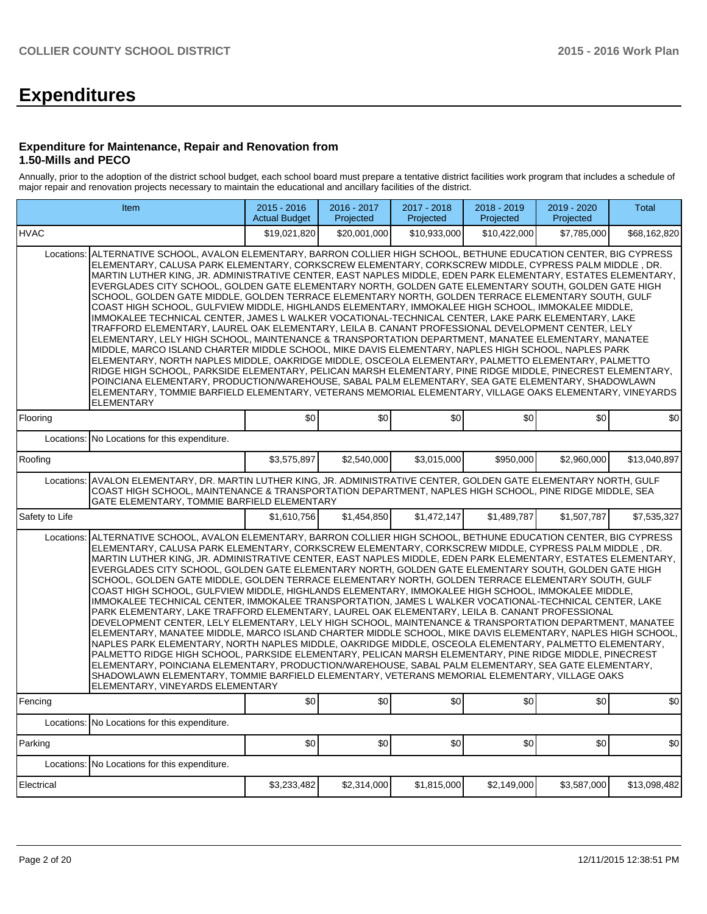# **Expenditures**

#### **Expenditure for Maintenance, Repair and Renovation from 1.50-Mills and PECO**

Annually, prior to the adoption of the district school budget, each school board must prepare a tentative district facilities work program that includes a schedule of major repair and renovation projects necessary to maintain the educational and ancillary facilities of the district.

|                                                                                                                                                                                                                                                                                                                                                                                                                                                                                                                                                                                                                                                                                                                                                                                                                                                                                                                                                                                                                                                                                                                                                                                                                                                                                                                                                                                                                                                                                                                                                                          | Item                                          | 2015 - 2016<br><b>Actual Budget</b> | 2016 - 2017<br>Projected | 2017 - 2018<br>Projected | 2018 - 2019<br>Projected | 2019 - 2020<br>Projected | Total        |  |  |  |  |
|--------------------------------------------------------------------------------------------------------------------------------------------------------------------------------------------------------------------------------------------------------------------------------------------------------------------------------------------------------------------------------------------------------------------------------------------------------------------------------------------------------------------------------------------------------------------------------------------------------------------------------------------------------------------------------------------------------------------------------------------------------------------------------------------------------------------------------------------------------------------------------------------------------------------------------------------------------------------------------------------------------------------------------------------------------------------------------------------------------------------------------------------------------------------------------------------------------------------------------------------------------------------------------------------------------------------------------------------------------------------------------------------------------------------------------------------------------------------------------------------------------------------------------------------------------------------------|-----------------------------------------------|-------------------------------------|--------------------------|--------------------------|--------------------------|--------------------------|--------------|--|--|--|--|
| <b>HVAC</b>                                                                                                                                                                                                                                                                                                                                                                                                                                                                                                                                                                                                                                                                                                                                                                                                                                                                                                                                                                                                                                                                                                                                                                                                                                                                                                                                                                                                                                                                                                                                                              |                                               | \$19,021,820                        | \$20,001,000             | \$10.933.000             | \$10.422.000             | \$7,785,000              | \$68,162,820 |  |  |  |  |
| ALTERNATIVE SCHOOL, AVALON ELEMENTARY, BARRON COLLIER HIGH SCHOOL, BETHUNE EDUCATION CENTER, BIG CYPRESS<br>Locations:<br>ELEMENTARY, CALUSA PARK ELEMENTARY, CORKSCREW ELEMENTARY, CORKSCREW MIDDLE, CYPRESS PALM MIDDLE, DR.<br>MARTIN LUTHER KING, JR. ADMINISTRATIVE CENTER, EAST NAPLES MIDDLE, EDEN PARK ELEMENTARY, ESTATES ELEMENTARY,<br>EVERGLADES CITY SCHOOL, GOLDEN GATE ELEMENTARY NORTH, GOLDEN GATE ELEMENTARY SOUTH, GOLDEN GATE HIGH<br>SCHOOL, GOLDEN GATE MIDDLE, GOLDEN TERRACE ELEMENTARY NORTH, GOLDEN TERRACE ELEMENTARY SOUTH, GULF<br>COAST HIGH SCHOOL, GULFVIEW MIDDLE, HIGHLANDS ELEMENTARY, IMMOKALEE HIGH SCHOOL, IMMOKALEE MIDDLE,<br>IMMOKALEE TECHNICAL CENTER, JAMES L WALKER VOCATIONAL-TECHNICAL CENTER, LAKE PARK ELEMENTARY, LAKE<br>TRAFFORD ELEMENTARY, LAUREL OAK ELEMENTARY, LEILA B. CANANT PROFESSIONAL DEVELOPMENT CENTER, LELY<br>ELEMENTARY, LELY HIGH SCHOOL, MAINTENANCE & TRANSPORTATION DEPARTMENT, MANATEE ELEMENTARY, MANATEE<br>MIDDLE. MARCO ISLAND CHARTER MIDDLE SCHOOL. MIKE DAVIS ELEMENTARY. NAPLES HIGH SCHOOL. NAPLES PARK<br>ELEMENTARY, NORTH NAPLES MIDDLE, OAKRIDGE MIDDLE, OSCEOLA ELEMENTARY, PALMETTO ELEMENTARY, PALMETTO<br>RIDGE HIGH SCHOOL, PARKSIDE ELEMENTARY, PELICAN MARSH ELEMENTARY, PINE RIDGE MIDDLE, PINECREST ELEMENTARY,<br>POINCIANA ELEMENTARY, PRODUCTION/WAREHOUSE, SABAL PALM ELEMENTARY, SEA GATE ELEMENTARY, SHADOWLAWN<br>ELEMENTARY, TOMMIE BARFIELD ELEMENTARY, VETERANS MEMORIAL ELEMENTARY, VILLAGE OAKS ELEMENTARY, VINEYARDS<br><b>ELEMENTARY</b>                    |                                               |                                     |                          |                          |                          |                          |              |  |  |  |  |
| Flooring                                                                                                                                                                                                                                                                                                                                                                                                                                                                                                                                                                                                                                                                                                                                                                                                                                                                                                                                                                                                                                                                                                                                                                                                                                                                                                                                                                                                                                                                                                                                                                 |                                               | \$0                                 | \$0                      | \$0                      | \$0                      | \$0                      | \$0          |  |  |  |  |
| Locations:<br>Roofing                                                                                                                                                                                                                                                                                                                                                                                                                                                                                                                                                                                                                                                                                                                                                                                                                                                                                                                                                                                                                                                                                                                                                                                                                                                                                                                                                                                                                                                                                                                                                    | No Locations for this expenditure.            | \$3,575,897                         | \$2,540,000              | \$3,015,000              | \$950,000                | \$2,960,000              | \$13,040,897 |  |  |  |  |
| AVALON ELEMENTARY, DR. MARTIN LUTHER KING, JR. ADMINISTRATIVE CENTER, GOLDEN GATE ELEMENTARY NORTH, GULF<br>Locations:<br>COAST HIGH SCHOOL, MAINTENANCE & TRANSPORTATION DEPARTMENT, NAPLES HIGH SCHOOL, PINE RIDGE MIDDLE, SEA<br>GATE ELEMENTARY, TOMMIE BARFIELD ELEMENTARY                                                                                                                                                                                                                                                                                                                                                                                                                                                                                                                                                                                                                                                                                                                                                                                                                                                                                                                                                                                                                                                                                                                                                                                                                                                                                          |                                               |                                     |                          |                          |                          |                          |              |  |  |  |  |
| Safety to Life                                                                                                                                                                                                                                                                                                                                                                                                                                                                                                                                                                                                                                                                                                                                                                                                                                                                                                                                                                                                                                                                                                                                                                                                                                                                                                                                                                                                                                                                                                                                                           |                                               | \$1,610,756                         | \$1.454.850              | \$1.472.147              | \$1.489.787              | \$1,507,787              | \$7,535,327  |  |  |  |  |
| ALTERNATIVE SCHOOL, AVALON ELEMENTARY, BARRON COLLIER HIGH SCHOOL, BETHUNE EDUCATION CENTER, BIG CYPRESS<br>Locations:<br>ELEMENTARY, CALUSA PARK ELEMENTARY, CORKSCREW ELEMENTARY, CORKSCREW MIDDLE, CYPRESS PALM MIDDLE, DR.<br>MARTIN LUTHER KING, JR. ADMINISTRATIVE CENTER, EAST NAPLES MIDDLE, EDEN PARK ELEMENTARY, ESTATES ELEMENTARY,<br>EVERGLADES CITY SCHOOL, GOLDEN GATE ELEMENTARY NORTH, GOLDEN GATE ELEMENTARY SOUTH, GOLDEN GATE HIGH<br>SCHOOL, GOLDEN GATE MIDDLE, GOLDEN TERRACE ELEMENTARY NORTH, GOLDEN TERRACE ELEMENTARY SOUTH, GULF<br>COAST HIGH SCHOOL, GULFVIEW MIDDLE, HIGHLANDS ELEMENTARY, IMMOKALEE HIGH SCHOOL, IMMOKALEE MIDDLE,<br>IMMOKALEE TECHNICAL CENTER, IMMOKALEE TRANSPORTATION, JAMES L WALKER VOCATIONAL-TECHNICAL CENTER, LAKE<br>PARK ELEMENTARY, LAKE TRAFFORD ELEMENTARY, LAUREL OAK ELEMENTARY, LEILA B. CANANT PROFESSIONAL<br>DEVELOPMENT CENTER, LELY ELEMENTARY, LELY HIGH SCHOOL, MAINTENANCE & TRANSPORTATION DEPARTMENT, MANATEE<br>ELEMENTARY, MANATEE MIDDLE, MARCO ISLAND CHARTER MIDDLE SCHOOL, MIKE DAVIS ELEMENTARY, NAPLES HIGH SCHOOL,<br>NAPLES PARK ELEMENTARY, NORTH NAPLES MIDDLE, OAKRIDGE MIDDLE, OSCEOLA ELEMENTARY, PALMETTO ELEMENTARY,<br>PALMETTO RIDGE HIGH SCHOOL, PARKSIDE ELEMENTARY, PELICAN MARSH ELEMENTARY, PINE RIDGE MIDDLE, PINECREST<br>ELEMENTARY, POINCIANA ELEMENTARY, PRODUCTION/WAREHOUSE, SABAL PALM ELEMENTARY, SEA GATE ELEMENTARY,<br>SHADOWLAWN ELEMENTARY, TOMMIE BARFIELD ELEMENTARY, VETERANS MEMORIAL ELEMENTARY, VILLAGE OAKS<br>ELEMENTARY, VINEYARDS ELEMENTARY |                                               |                                     |                          |                          |                          |                          |              |  |  |  |  |
| Fencing                                                                                                                                                                                                                                                                                                                                                                                                                                                                                                                                                                                                                                                                                                                                                                                                                                                                                                                                                                                                                                                                                                                                                                                                                                                                                                                                                                                                                                                                                                                                                                  |                                               | \$0                                 | \$0                      | \$0                      | \$0                      | \$0                      | \$0          |  |  |  |  |
|                                                                                                                                                                                                                                                                                                                                                                                                                                                                                                                                                                                                                                                                                                                                                                                                                                                                                                                                                                                                                                                                                                                                                                                                                                                                                                                                                                                                                                                                                                                                                                          | Locations: No Locations for this expenditure. |                                     |                          |                          |                          |                          |              |  |  |  |  |
| Parking                                                                                                                                                                                                                                                                                                                                                                                                                                                                                                                                                                                                                                                                                                                                                                                                                                                                                                                                                                                                                                                                                                                                                                                                                                                                                                                                                                                                                                                                                                                                                                  |                                               | \$0                                 | \$0                      | \$0                      | \$0                      | \$0                      | \$0          |  |  |  |  |
| Locations:                                                                                                                                                                                                                                                                                                                                                                                                                                                                                                                                                                                                                                                                                                                                                                                                                                                                                                                                                                                                                                                                                                                                                                                                                                                                                                                                                                                                                                                                                                                                                               | No Locations for this expenditure.            |                                     |                          |                          |                          |                          |              |  |  |  |  |
| Electrical                                                                                                                                                                                                                                                                                                                                                                                                                                                                                                                                                                                                                                                                                                                                                                                                                                                                                                                                                                                                                                                                                                                                                                                                                                                                                                                                                                                                                                                                                                                                                               |                                               | \$3,233,482                         | \$2,314,000              | \$1,815,000              | \$2,149,000              | \$3,587,000              | \$13,098,482 |  |  |  |  |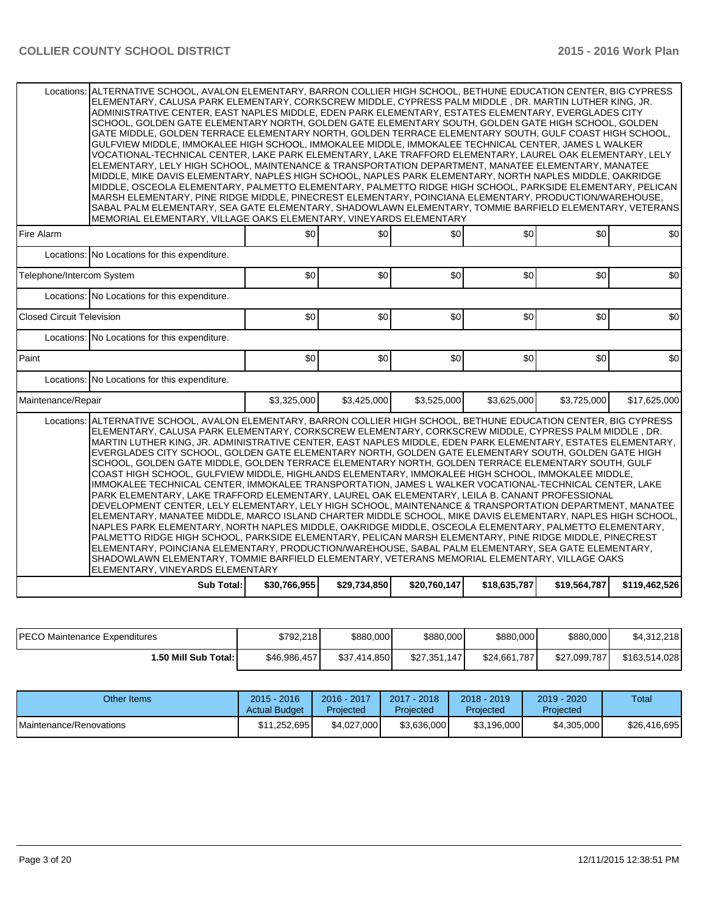| Locations:                       | ALTERNATIVE SCHOOL, AVALON ELEMENTARY, BARRON COLLIER HIGH SCHOOL, BETHUNE EDUCATION CENTER, BIG CYPRESS<br>ELEMENTARY, CALUSA PARK ELEMENTARY, CORKSCREW MIDDLE, CYPRESS PALM MIDDLE , DR. MARTIN LUTHER KING, JR.<br>ADMINISTRATIVE CENTER, EAST NAPLES MIDDLE, EDEN PARK ELEMENTARY, ESTATES ELEMENTARY, EVERGLADES CITY<br>SCHOOL, GOLDEN GATE ELEMENTARY NORTH, GOLDEN GATE ELEMENTARY SOUTH, GOLDEN GATE HIGH SCHOOL, GOLDEN<br>GATE MIDDLE, GOLDEN TERRACE ELEMENTARY NORTH, GOLDEN TERRACE ELEMENTARY SOUTH, GULF COAST HIGH SCHOOL,<br>GULFVIEW MIDDLE, IMMOKALEE HIGH SCHOOL, IMMOKALEE MIDDLE, IMMOKALEE TECHNICAL CENTER, JAMES L WALKER<br>VOCATIONAL-TECHNICAL CENTER, LAKE PARK ELEMENTARY, LAKE TRAFFORD ELEMENTARY, LAUREL OAK ELEMENTARY, LELY<br>ELEMENTARY. LELY HIGH SCHOOL. MAINTENANCE & TRANSPORTATION DEPARTMENT. MANATEE ELEMENTARY. MANATEE<br>MIDDLE, MIKE DAVIS ELEMENTARY, NAPLES HIGH SCHOOL, NAPLES PARK ELEMENTARY, NORTH NAPLES MIDDLE, OAKRIDGE<br>MIDDLE, OSCEOLA ELEMENTARY, PALMETTO ELEMENTARY, PALMETTO RIDGE HIGH SCHOOL, PARKSIDE ELEMENTARY, PELICAN<br>MARSH ELEMENTARY, PINE RIDGE MIDDLE, PINECREST ELEMENTARY, POINCIANA ELEMENTARY, PRODUCTION/WAREHOUSE,<br>SABAL PALM ELEMENTARY, SEA GATE ELEMENTARY, SHADOWLAWN ELEMENTARY, TOMMIE BARFIELD ELEMENTARY, VETERANS<br>MEMORIAL ELEMENTARY, VILLAGE OAKS ELEMENTARY, VINEYARDS ELEMENTARY                                                                                                                                                                  |              |              |              |              |              |               |  |  |  |  |
|----------------------------------|-------------------------------------------------------------------------------------------------------------------------------------------------------------------------------------------------------------------------------------------------------------------------------------------------------------------------------------------------------------------------------------------------------------------------------------------------------------------------------------------------------------------------------------------------------------------------------------------------------------------------------------------------------------------------------------------------------------------------------------------------------------------------------------------------------------------------------------------------------------------------------------------------------------------------------------------------------------------------------------------------------------------------------------------------------------------------------------------------------------------------------------------------------------------------------------------------------------------------------------------------------------------------------------------------------------------------------------------------------------------------------------------------------------------------------------------------------------------------------------------------------------------------------------------------------------|--------------|--------------|--------------|--------------|--------------|---------------|--|--|--|--|
| Fire Alarm                       |                                                                                                                                                                                                                                                                                                                                                                                                                                                                                                                                                                                                                                                                                                                                                                                                                                                                                                                                                                                                                                                                                                                                                                                                                                                                                                                                                                                                                                                                                                                                                             | \$0          | \$0          | \$0          | \$0          | \$0          | \$0           |  |  |  |  |
|                                  | Locations: No Locations for this expenditure.                                                                                                                                                                                                                                                                                                                                                                                                                                                                                                                                                                                                                                                                                                                                                                                                                                                                                                                                                                                                                                                                                                                                                                                                                                                                                                                                                                                                                                                                                                               |              |              |              |              |              |               |  |  |  |  |
| Telephone/Intercom System        |                                                                                                                                                                                                                                                                                                                                                                                                                                                                                                                                                                                                                                                                                                                                                                                                                                                                                                                                                                                                                                                                                                                                                                                                                                                                                                                                                                                                                                                                                                                                                             | \$0          | \$0          | \$0          | \$0          | \$0          | \$0           |  |  |  |  |
|                                  | Locations: No Locations for this expenditure.                                                                                                                                                                                                                                                                                                                                                                                                                                                                                                                                                                                                                                                                                                                                                                                                                                                                                                                                                                                                                                                                                                                                                                                                                                                                                                                                                                                                                                                                                                               |              |              |              |              |              |               |  |  |  |  |
| <b>Closed Circuit Television</b> |                                                                                                                                                                                                                                                                                                                                                                                                                                                                                                                                                                                                                                                                                                                                                                                                                                                                                                                                                                                                                                                                                                                                                                                                                                                                                                                                                                                                                                                                                                                                                             | \$0          | \$0          | \$0          | \$0          | \$0          | \$0           |  |  |  |  |
|                                  | Locations: No Locations for this expenditure.                                                                                                                                                                                                                                                                                                                                                                                                                                                                                                                                                                                                                                                                                                                                                                                                                                                                                                                                                                                                                                                                                                                                                                                                                                                                                                                                                                                                                                                                                                               |              |              |              |              |              |               |  |  |  |  |
| Paint                            |                                                                                                                                                                                                                                                                                                                                                                                                                                                                                                                                                                                                                                                                                                                                                                                                                                                                                                                                                                                                                                                                                                                                                                                                                                                                                                                                                                                                                                                                                                                                                             | \$0          | \$0          | \$0          | \$0          | \$0          | \$0           |  |  |  |  |
|                                  | Locations: No Locations for this expenditure.                                                                                                                                                                                                                                                                                                                                                                                                                                                                                                                                                                                                                                                                                                                                                                                                                                                                                                                                                                                                                                                                                                                                                                                                                                                                                                                                                                                                                                                                                                               |              |              |              |              |              |               |  |  |  |  |
| Maintenance/Repair               |                                                                                                                                                                                                                                                                                                                                                                                                                                                                                                                                                                                                                                                                                                                                                                                                                                                                                                                                                                                                                                                                                                                                                                                                                                                                                                                                                                                                                                                                                                                                                             | \$3,325,000  | \$3,425,000  | \$3,525,000  | \$3,625,000  | \$3,725,000  | \$17,625,000  |  |  |  |  |
| Locations:                       | ALTERNATIVE SCHOOL, AVALON ELEMENTARY, BARRON COLLIER HIGH SCHOOL, BETHUNE EDUCATION CENTER, BIG CYPRESS<br>ELEMENTARY, CALUSA PARK ELEMENTARY, CORKSCREW ELEMENTARY, CORKSCREW MIDDLE, CYPRESS PALM MIDDLE, DR.<br>MARTIN LUTHER KING. JR. ADMINISTRATIVE CENTER. EAST NAPLES MIDDLE. EDEN PARK ELEMENTARY. ESTATES ELEMENTARY.<br>EVERGLADES CITY SCHOOL, GOLDEN GATE ELEMENTARY NORTH, GOLDEN GATE ELEMENTARY SOUTH, GOLDEN GATE HIGH<br>SCHOOL, GOLDEN GATE MIDDLE, GOLDEN TERRACE ELEMENTARY NORTH, GOLDEN TERRACE ELEMENTARY SOUTH, GULF<br>COAST HIGH SCHOOL, GULFVIEW MIDDLE, HIGHLANDS ELEMENTARY, IMMOKALEE HIGH SCHOOL, IMMOKALEE MIDDLE,<br>IMMOKALEE TECHNICAL CENTER, IMMOKALEE TRANSPORTATION, JAMES L WALKER VOCATIONAL-TECHNICAL CENTER, LAKE<br>PARK ELEMENTARY, LAKE TRAFFORD ELEMENTARY, LAUREL OAK ELEMENTARY, LEILA B. CANANT PROFESSIONAL<br>DEVELOPMENT CENTER, LELY ELEMENTARY, LELY HIGH SCHOOL, MAINTENANCE & TRANSPORTATION DEPARTMENT, MANATEE<br>IELEMENTARY. MANATEE MIDDLE. MARCO ISLAND CHARTER MIDDLE SCHOOL. MIKE DAVIS ELEMENTARY. NAPLES HIGH SCHOOL.<br>NAPLES PARK ELEMENTARY, NORTH NAPLES MIDDLE, OAKRIDGE MIDDLE, OSCEOLA ELEMENTARY, PALMETTO ELEMENTARY,<br>PALMETTO RIDGE HIGH SCHOOL, PARKSIDE ELEMENTARY, PELICAN MARSH ELEMENTARY, PINE RIDGE MIDDLE, PINECREST<br>ELEMENTARY, POINCIANA ELEMENTARY, PRODUCTION/WAREHOUSE, SABAL PALM ELEMENTARY, SEA GATE ELEMENTARY,<br>SHADOWLAWN ELEMENTARY, TOMMIE BARFIELD ELEMENTARY, VETERANS MEMORIAL ELEMENTARY, VILLAGE OAKS<br>ELEMENTARY, VINEYARDS ELEMENTARY |              |              |              |              |              |               |  |  |  |  |
|                                  | <b>Sub Total:</b>                                                                                                                                                                                                                                                                                                                                                                                                                                                                                                                                                                                                                                                                                                                                                                                                                                                                                                                                                                                                                                                                                                                                                                                                                                                                                                                                                                                                                                                                                                                                           | \$30,766,955 | \$29,734,850 | \$20,760,147 | \$18,635,787 | \$19,564,787 | \$119,462,526 |  |  |  |  |

| <b>IPECO Maintenance Expenditures</b> | \$792.218    | \$880,000    | \$880,000    | \$880,000    | \$880,000    | \$4.312.218   |
|---------------------------------------|--------------|--------------|--------------|--------------|--------------|---------------|
| 1.50 Mill Sub Total: I                | \$46,986,457 | \$37.414.850 | \$27,351,147 | \$24,661,787 | \$27,099,787 | \$163,514,028 |

| Other Items                     | 2015 - 2016<br><b>Actual Budget</b> | 2016 - 2017<br>Projected | $2017 - 2018$<br>Projected | $2018 - 2019$<br>Projected | $2019 - 2020$<br>Projected | Total        |
|---------------------------------|-------------------------------------|--------------------------|----------------------------|----------------------------|----------------------------|--------------|
| <b>IMaintenance/Renovations</b> | \$11.252.695                        | \$4.027.000              | \$3.636.000                | \$3,196,000                | \$4,305,000                | \$26,416,695 |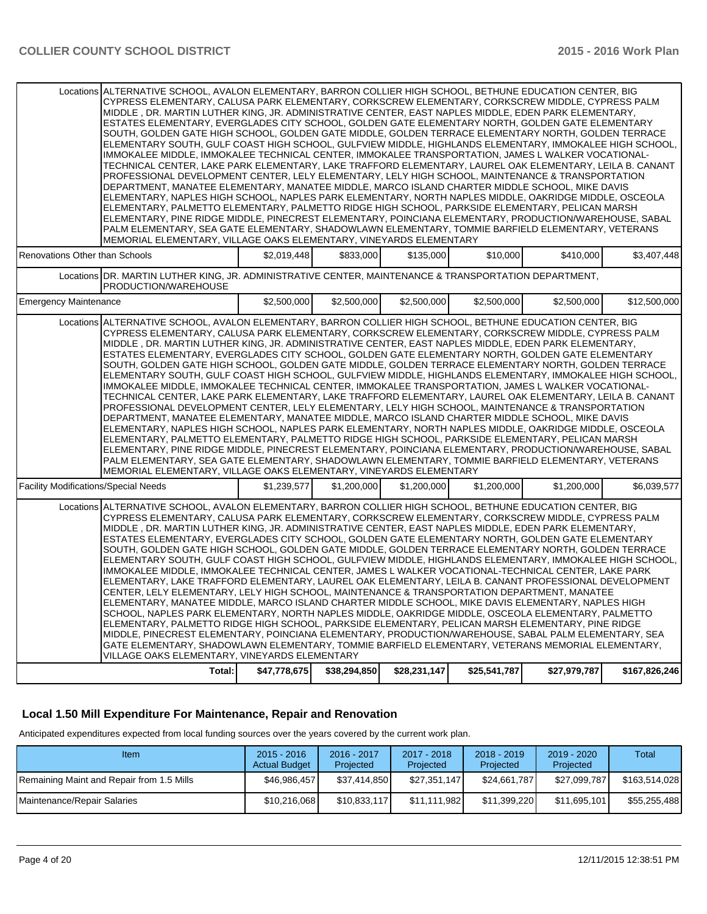| Locations ALTERNATIVE SCHOOL, AVALON ELEMENTARY, BARRON COLLIER HIGH SCHOOL, BETHUNE EDUCATION CENTER, BIG<br>CYPRESS ELEMENTARY, CALUSA PARK ELEMENTARY, CORKSCREW ELEMENTARY, CORKSCREW MIDDLE, CYPRESS PALM<br>MIDDLE, DR. MARTIN LUTHER KING, JR. ADMINISTRATIVE CENTER, EAST NAPLES MIDDLE, EDEN PARK ELEMENTARY,<br>ESTATES ELEMENTARY, EVERGLADES CITY SCHOOL, GOLDEN GATE ELEMENTARY NORTH, GOLDEN GATE ELEMENTARY<br>SOUTH, GOLDEN GATE HIGH SCHOOL, GOLDEN GATE MIDDLE, GOLDEN TERRACE ELEMENTARY NORTH, GOLDEN TERRACE<br>ELEMENTARY SOUTH, GULF COAST HIGH SCHOOL, GULFVIEW MIDDLE, HIGHLANDS ELEMENTARY, IMMOKALEE HIGH SCHOOL,<br>IMMOKALEE MIDDLE, IMMOKALEE TECHNICAL CENTER, IMMOKALEE TRANSPORTATION, JAMES L WALKER VOCATIONAL-<br>TECHNICAL CENTER, LAKE PARK ELEMENTARY, LAKE TRAFFORD ELEMENTARY, LAUREL OAK ELEMENTARY, LEILA B. CANANT<br>PROFESSIONAL DEVELOPMENT CENTER, LELY ELEMENTARY, LELY HIGH SCHOOL, MAINTENANCE & TRANSPORTATION<br>DEPARTMENT, MANATEE ELEMENTARY, MANATEE MIDDLE, MARCO ISLAND CHARTER MIDDLE SCHOOL, MIKE DAVIS<br>ELEMENTARY, NAPLES HIGH SCHOOL, NAPLES PARK ELEMENTARY, NORTH NAPLES MIDDLE, OAKRIDGE MIDDLE, OSCEOLA<br>ELEMENTARY, PALMETTO ELEMENTARY, PALMETTO RIDGE HIGH SCHOOL, PARKSIDE ELEMENTARY, PELICAN MARSH<br>ELEMENTARY, PINE RIDGE MIDDLE, PINECREST ELEMENTARY, POINCIANA ELEMENTARY, PRODUCTION/WAREHOUSE, SABAL<br>PALM ELEMENTARY, SEA GATE ELEMENTARY, SHADOWLAWN ELEMENTARY, TOMMIE BARFIELD ELEMENTARY, VETERANS<br>MEMORIAL ELEMENTARY, VILLAGE OAKS ELEMENTARY, VINEYARDS ELEMENTARY |              |              |              |              |              |               |  |  |  |
|-----------------------------------------------------------------------------------------------------------------------------------------------------------------------------------------------------------------------------------------------------------------------------------------------------------------------------------------------------------------------------------------------------------------------------------------------------------------------------------------------------------------------------------------------------------------------------------------------------------------------------------------------------------------------------------------------------------------------------------------------------------------------------------------------------------------------------------------------------------------------------------------------------------------------------------------------------------------------------------------------------------------------------------------------------------------------------------------------------------------------------------------------------------------------------------------------------------------------------------------------------------------------------------------------------------------------------------------------------------------------------------------------------------------------------------------------------------------------------------------------------------------------------------------------------------------------|--------------|--------------|--------------|--------------|--------------|---------------|--|--|--|
| Renovations Other than Schools                                                                                                                                                                                                                                                                                                                                                                                                                                                                                                                                                                                                                                                                                                                                                                                                                                                                                                                                                                                                                                                                                                                                                                                                                                                                                                                                                                                                                                                                                                                                        | \$2.019.448  | \$833,000    | \$135,000    | \$10,000     | \$410.000    | \$3.407.448   |  |  |  |
| Locations DR. MARTIN LUTHER KING, JR. ADMINISTRATIVE CENTER, MAINTENANCE & TRANSPORTATION DEPARTMENT,<br>PRODUCTION/WAREHOUSE                                                                                                                                                                                                                                                                                                                                                                                                                                                                                                                                                                                                                                                                                                                                                                                                                                                                                                                                                                                                                                                                                                                                                                                                                                                                                                                                                                                                                                         |              |              |              |              |              |               |  |  |  |
| <b>Emergency Maintenance</b>                                                                                                                                                                                                                                                                                                                                                                                                                                                                                                                                                                                                                                                                                                                                                                                                                                                                                                                                                                                                                                                                                                                                                                                                                                                                                                                                                                                                                                                                                                                                          | \$2,500,000  | \$2,500,000  | \$2,500,000  | \$2,500,000  | \$2,500,000  | \$12,500,000  |  |  |  |
| Locations ALTERNATIVE SCHOOL, AVALON ELEMENTARY, BARRON COLLIER HIGH SCHOOL, BETHUNE EDUCATION CENTER, BIG<br>CYPRESS ELEMENTARY, CALUSA PARK ELEMENTARY, CORKSCREW ELEMENTARY, CORKSCREW MIDDLE, CYPRESS PALM<br>MIDDLE, DR. MARTIN LUTHER KING, JR. ADMINISTRATIVE CENTER, EAST NAPLES MIDDLE, EDEN PARK ELEMENTARY,<br>ESTATES ELEMENTARY, EVERGLADES CITY SCHOOL, GOLDEN GATE ELEMENTARY NORTH, GOLDEN GATE ELEMENTARY<br>SOUTH, GOLDEN GATE HIGH SCHOOL, GOLDEN GATE MIDDLE, GOLDEN TERRACE ELEMENTARY NORTH, GOLDEN TERRACE<br>ELEMENTARY SOUTH, GULF COAST HIGH SCHOOL, GULFVIEW MIDDLE, HIGHLANDS ELEMENTARY, IMMOKALEE HIGH SCHOOL,<br>IMMOKALEE MIDDLE. IMMOKALEE TECHNICAL CENTER. IMMOKALEE TRANSPORTATION. JAMES L WALKER VOCATIONAL-<br>TECHNICAL CENTER, LAKE PARK ELEMENTARY, LAKE TRAFFORD ELEMENTARY, LAUREL OAK ELEMENTARY, LEILA B. CANANT<br>PROFESSIONAL DEVELOPMENT CENTER, LELY ELEMENTARY, LELY HIGH SCHOOL, MAINTENANCE & TRANSPORTATION<br>DEPARTMENT, MANATEE ELEMENTARY, MANATEE MIDDLE, MARCO ISLAND CHARTER MIDDLE SCHOOL, MIKE DAVIS<br>ELEMENTARY, NAPLES HIGH SCHOOL, NAPLES PARK ELEMENTARY, NORTH NAPLES MIDDLE, OAKRIDGE MIDDLE, OSCEOLA<br>ELEMENTARY, PALMETTO ELEMENTARY, PALMETTO RIDGE HIGH SCHOOL, PARKSIDE ELEMENTARY, PELICAN MARSH<br>ELEMENTARY, PINE RIDGE MIDDLE, PINECREST ELEMENTARY, POINCIANA ELEMENTARY, PRODUCTION/WAREHOUSE, SABAL<br>PALM ELEMENTARY, SEA GATE ELEMENTARY, SHADOWLAWN ELEMENTARY, TOMMIE BARFIELD ELEMENTARY, VETERANS<br>MEMORIAL ELEMENTARY, VILLAGE OAKS ELEMENTARY, VINEYARDS ELEMENTARY |              |              |              |              |              |               |  |  |  |
| <b>Facility Modifications/Special Needs</b>                                                                                                                                                                                                                                                                                                                                                                                                                                                                                                                                                                                                                                                                                                                                                                                                                                                                                                                                                                                                                                                                                                                                                                                                                                                                                                                                                                                                                                                                                                                           | \$1.239.577  | \$1,200,000  | \$1,200,000  | \$1.200.000  | \$1,200,000  | \$6.039.577   |  |  |  |
| Locations ALTERNATIVE SCHOOL, AVALON ELEMENTARY, BARRON COLLIER HIGH SCHOOL, BETHUNE EDUCATION CENTER, BIG<br>CYPRESS ELEMENTARY, CALUSA PARK ELEMENTARY, CORKSCREW ELEMENTARY, CORKSCREW MIDDLE, CYPRESS PALM<br>MIDDLE, DR. MARTIN LUTHER KING, JR. ADMINISTRATIVE CENTER, EAST NAPLES MIDDLE, EDEN PARK ELEMENTARY,<br>ESTATES ELEMENTARY. EVERGLADES CITY SCHOOL. GOLDEN GATE ELEMENTARY NORTH. GOLDEN GATE ELEMENTARY<br>SOUTH, GOLDEN GATE HIGH SCHOOL, GOLDEN GATE MIDDLE, GOLDEN TERRACE ELEMENTARY NORTH, GOLDEN TERRACE<br>ELEMENTARY SOUTH, GULF COAST HIGH SCHOOL, GULFVIEW MIDDLE, HIGHLANDS ELEMENTARY, IMMOKALEE HIGH SCHOOL,<br>IMMOKALEE MIDDLE, IMMOKALEE TECHNICAL CENTER, JAMES L WALKER VOCATIONAL-TECHNICAL CENTER, LAKE PARK<br>ELEMENTARY, LAKE TRAFFORD ELEMENTARY, LAUREL OAK ELEMENTARY, LEILA B. CANANT PROFESSIONAL DEVELOPMENT<br>CENTER, LELY ELEMENTARY, LELY HIGH SCHOOL, MAINTENANCE & TRANSPORTATION DEPARTMENT, MANATEE<br>ELEMENTARY, MANATEE MIDDLE, MARCO ISLAND CHARTER MIDDLE SCHOOL, MIKE DAVIS ELEMENTARY, NAPLES HIGH<br>SCHOOL, NAPLES PARK ELEMENTARY, NORTH NAPLES MIDDLE, OAKRIDGE MIDDLE, OSCEOLA ELEMENTARY, PALMETTO<br>ELEMENTARY, PALMETTO RIDGE HIGH SCHOOL, PARKSIDE ELEMENTARY, PELICAN MARSH ELEMENTARY, PINE RIDGE<br>MIDDLE, PINECREST ELEMENTARY, POINCIANA ELEMENTARY, PRODUCTION/WAREHOUSE, SABAL PALM ELEMENTARY, SEA<br>GATE ELEMENTARY, SHADOWLAWN ELEMENTARY, TOMMIE BARFIELD ELEMENTARY, VETERANS MEMORIAL ELEMENTARY,<br>VILLAGE OAKS ELEMENTARY, VINEYARDS ELEMENTARY                            |              |              |              |              |              |               |  |  |  |
| Total:                                                                                                                                                                                                                                                                                                                                                                                                                                                                                                                                                                                                                                                                                                                                                                                                                                                                                                                                                                                                                                                                                                                                                                                                                                                                                                                                                                                                                                                                                                                                                                | \$47,778,675 | \$38,294,850 | \$28,231,147 | \$25,541,787 | \$27,979,787 | \$167,826,246 |  |  |  |

### **Local 1.50 Mill Expenditure For Maintenance, Repair and Renovation**

Anticipated expenditures expected from local funding sources over the years covered by the current work plan.

| Item                                      | $2015 - 2016$<br><b>Actual Budget</b> | 2016 - 2017<br>Projected | $2017 - 2018$<br>Projected | $2018 - 2019$<br>Projected | $2019 - 2020$<br>Projected | Total         |
|-------------------------------------------|---------------------------------------|--------------------------|----------------------------|----------------------------|----------------------------|---------------|
| Remaining Maint and Repair from 1.5 Mills | \$46,986,457                          | \$37,414,850             | \$27,351,147               | \$24,661,787               | \$27,099,787               | \$163,514,028 |
| Maintenance/Repair Salaries               | \$10,216,068                          | \$10,833,117             | \$11.111.982               | \$11,399,220               | \$11.695.101               | \$55,255,488  |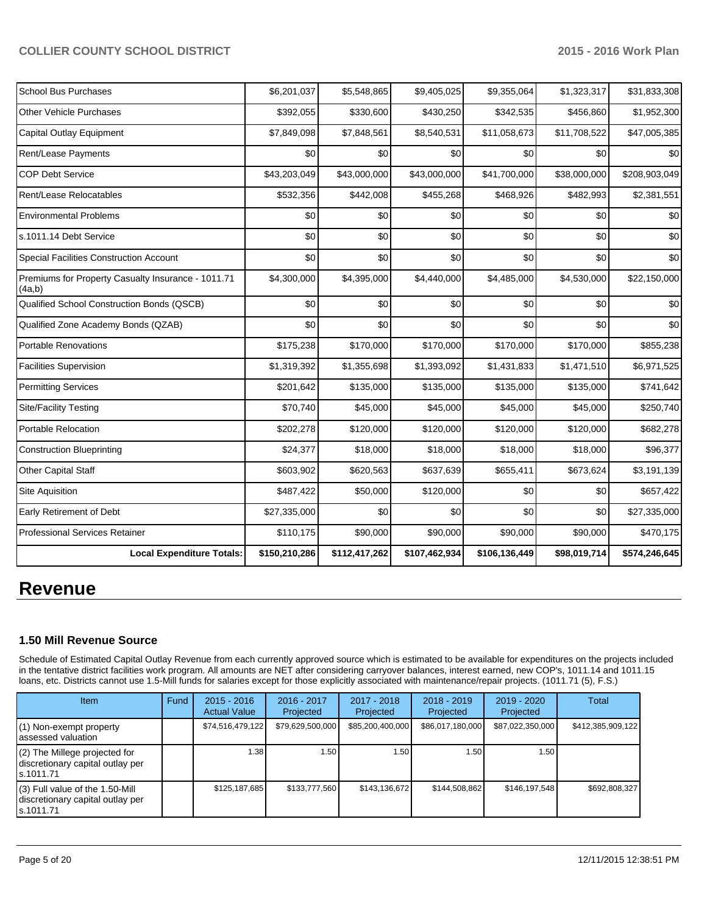| <b>School Bus Purchases</b>                                  | \$6,201,037   | \$5,548,865   | \$9,405,025   | \$9,355,064   | \$1,323,317  | \$31,833,308  |
|--------------------------------------------------------------|---------------|---------------|---------------|---------------|--------------|---------------|
| <b>Other Vehicle Purchases</b>                               | \$392,055     | \$330,600     | \$430,250     | \$342,535     | \$456,860    | \$1,952,300   |
| Capital Outlay Equipment                                     | \$7,849,098   | \$7,848,561   | \$8,540,531   | \$11,058,673  | \$11,708,522 | \$47,005,385  |
| Rent/Lease Payments                                          | \$0           | \$0           | \$0           | \$0           | \$0          | \$0           |
| <b>COP Debt Service</b>                                      | \$43,203,049  | \$43,000,000  | \$43,000,000  | \$41,700,000  | \$38,000,000 | \$208,903,049 |
| Rent/Lease Relocatables                                      | \$532,356     | \$442,008     | \$455,268     | \$468,926     | \$482,993    | \$2,381,551   |
| <b>Environmental Problems</b>                                | \$0           | \$0           | \$0           | \$0           | \$0          | \$0           |
| s.1011.14 Debt Service                                       | \$0           | \$0           | \$0           | \$0           | \$0          | \$0           |
| <b>Special Facilities Construction Account</b>               | \$0           | \$0           | \$0           | \$0           | \$0          | \$0           |
| Premiums for Property Casualty Insurance - 1011.71<br>(4a,b) | \$4,300,000   | \$4,395,000   | \$4,440,000   | \$4,485,000   | \$4,530,000  | \$22,150,000  |
| Qualified School Construction Bonds (QSCB)                   | \$0           | \$0           | \$0           | \$0           | \$0          | \$0           |
| Qualified Zone Academy Bonds (QZAB)                          | \$0           | \$0           | \$0           | \$0           | \$0          | \$0           |
| <b>Portable Renovations</b>                                  | \$175,238     | \$170,000     | \$170,000     | \$170,000     | \$170,000    | \$855,238     |
| <b>Facilities Supervision</b>                                | \$1,319,392   | \$1,355,698   | \$1,393,092   | \$1,431,833   | \$1,471,510  | \$6,971,525   |
| <b>Permitting Services</b>                                   | \$201,642     | \$135,000     | \$135,000     | \$135,000     | \$135,000    | \$741,642     |
| <b>Site/Facility Testing</b>                                 | \$70,740      | \$45,000      | \$45,000      | \$45,000      | \$45,000     | \$250,740     |
| Portable Relocation                                          | \$202,278     | \$120,000     | \$120,000     | \$120,000     | \$120,000    | \$682,278     |
| <b>Construction Blueprinting</b>                             | \$24,377      | \$18,000      | \$18,000      | \$18,000      | \$18,000     | \$96,377      |
| <b>Other Capital Staff</b>                                   | \$603,902     | \$620,563     | \$637,639     | \$655,411     | \$673,624    | \$3,191,139   |
| Site Aquisition                                              | \$487,422     | \$50,000      | \$120,000     | \$0           | \$0          | \$657,422     |
| Early Retirement of Debt                                     | \$27,335,000  | \$0           | \$0           | \$0           | \$0          | \$27,335,000  |
| <b>Professional Services Retainer</b>                        | \$110,175     | \$90,000      | \$90,000      | \$90,000      | \$90,000     | \$470,175     |
| <b>Local Expenditure Totals:</b>                             | \$150,210,286 | \$112,417,262 | \$107,462,934 | \$106,136,449 | \$98,019,714 | \$574,246,645 |

## **Revenue**

## **1.50 Mill Revenue Source**

Schedule of Estimated Capital Outlay Revenue from each currently approved source which is estimated to be available for expenditures on the projects included in the tentative district facilities work program. All amounts are NET after considering carryover balances, interest earned, new COP's, 1011.14 and 1011.15 loans, etc. Districts cannot use 1.5-Mill funds for salaries except for those explicitly associated with maintenance/repair projects. (1011.71 (5), F.S.)

| Item                                                                                | Fund | $2015 - 2016$<br><b>Actual Value</b> | 2016 - 2017<br>Projected | 2017 - 2018<br>Projected | $2018 - 2019$<br>Projected | $2019 - 2020$<br>Projected | Total             |
|-------------------------------------------------------------------------------------|------|--------------------------------------|--------------------------|--------------------------|----------------------------|----------------------------|-------------------|
| (1) Non-exempt property<br>assessed valuation                                       |      | \$74,516,479,122                     | \$79,629,500,000         | \$85,200,400,000         | \$86,017,180,000           | \$87,022,350,000           | \$412,385,909,122 |
| $(2)$ The Millege projected for<br>discretionary capital outlay per<br>ls.1011.71   |      | 1.38                                 | .50 <sub>1</sub>         | 1.50                     | 1.50                       | 1.50                       |                   |
| $(3)$ Full value of the 1.50-Mill<br>discretionary capital outlay per<br>ls.1011.71 |      | \$125,187,685                        | \$133,777,560            | \$143,136,672            | \$144,508,862              | \$146,197,548              | \$692,808,327     |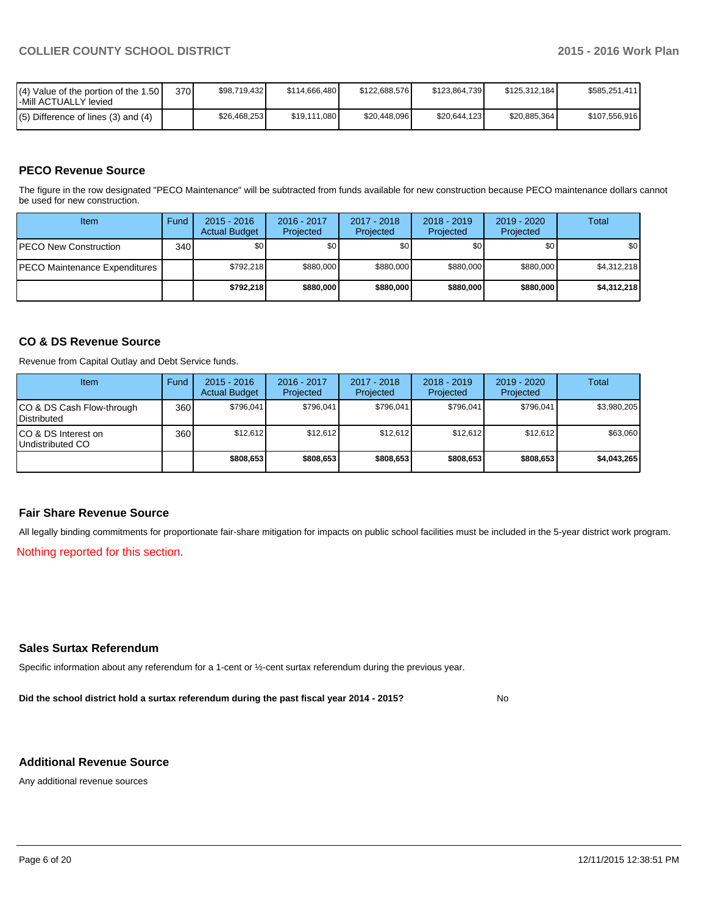| $\mathsf{I}(\mathsf{4})$ Value of the portion of the 1.50 $\mathsf{I}$<br>-Mill ACTUALLY levied | 370 | \$98.719.432 | \$114.666.480 | \$122,688,576 | \$123.864.739 | \$125.312.184 | \$585.251.411 |
|-------------------------------------------------------------------------------------------------|-----|--------------|---------------|---------------|---------------|---------------|---------------|
| $(5)$ Difference of lines (3) and (4)                                                           |     | \$26.468.253 | \$19,111,080  | \$20,448,096  | \$20.644.123  | \$20,885,364  | \$107,556,916 |

### **PECO Revenue Source**

The figure in the row designated "PECO Maintenance" will be subtracted from funds available for new construction because PECO maintenance dollars cannot be used for new construction.

| Item                                  | Fund             | $2015 - 2016$<br><b>Actual Budget</b> | 2016 - 2017<br>Projected | 2017 - 2018<br>Projected | $2018 - 2019$<br>Projected | $2019 - 2020$<br>Projected | Total       |
|---------------------------------------|------------------|---------------------------------------|--------------------------|--------------------------|----------------------------|----------------------------|-------------|
| <b>IPECO New Construction</b>         | 340 <sup>l</sup> | \$0 <sub>1</sub>                      | \$0                      | \$0                      | \$0                        | \$0                        | \$0         |
| <b>IPECO Maintenance Expenditures</b> |                  | \$792.218                             | \$880,000                | \$880,000                | \$880,000                  | \$880,000                  | \$4,312,218 |
|                                       |                  | \$792.218                             | \$880,000                | \$880,000                | \$880,000                  | \$880,000                  | \$4,312,218 |

#### **CO & DS Revenue Source**

Revenue from Capital Outlay and Debt Service funds.

| Item                                            | Fund | $2015 - 2016$<br><b>Actual Budget</b> | $2016 - 2017$<br>Projected | 2017 - 2018<br>Projected | $2018 - 2019$<br>Projected | $2019 - 2020$<br>Projected | Total       |
|-------------------------------------------------|------|---------------------------------------|----------------------------|--------------------------|----------------------------|----------------------------|-------------|
| CO & DS Cash Flow-through<br><b>Distributed</b> | 360  | \$796.041                             | \$796,041                  | \$796.041                | \$796.041                  | \$796,041                  | \$3,980,205 |
| CO & DS Interest on<br>Undistributed CO         | 360  | \$12.612                              | \$12.612                   | \$12.612                 | \$12.612                   | \$12.612                   | \$63,060    |
|                                                 |      | \$808,653                             | \$808,653                  | \$808,653                | \$808,653                  | \$808,653                  | \$4,043,265 |

#### **Fair Share Revenue Source**

All legally binding commitments for proportionate fair-share mitigation for impacts on public school facilities must be included in the 5-year district work program.

Nothing reported for this section.

#### **Sales Surtax Referendum**

Specific information about any referendum for a 1-cent or ½-cent surtax referendum during the previous year.

**Did the school district hold a surtax referendum during the past fiscal year 2014 - 2015?**

No

#### **Additional Revenue Source**

Any additional revenue sources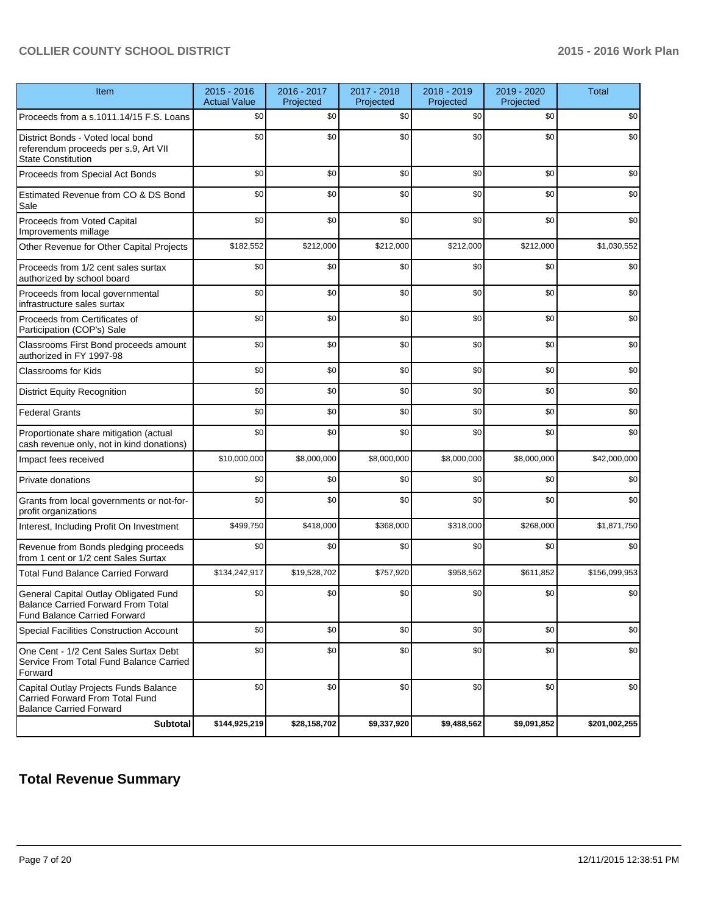| Item                                                                                                                      | $2015 - 2016$<br><b>Actual Value</b> | 2016 - 2017<br>Projected | 2017 - 2018<br>Projected | 2018 - 2019<br>Projected | 2019 - 2020<br>Projected | <b>Total</b>  |
|---------------------------------------------------------------------------------------------------------------------------|--------------------------------------|--------------------------|--------------------------|--------------------------|--------------------------|---------------|
| Proceeds from a s.1011.14/15 F.S. Loans                                                                                   | \$0                                  | \$0                      | \$0                      | \$0                      | \$0                      | \$0           |
| District Bonds - Voted local bond<br>referendum proceeds per s.9, Art VII<br><b>State Constitution</b>                    | \$0                                  | \$0                      | \$0                      | \$0                      | \$0                      | \$0           |
| Proceeds from Special Act Bonds                                                                                           | \$0                                  | \$0                      | \$0                      | \$0                      | \$0                      | \$0           |
| Estimated Revenue from CO & DS Bond<br>Sale                                                                               | \$0                                  | \$0                      | \$0                      | \$0                      | \$0                      | \$0           |
| Proceeds from Voted Capital<br>Improvements millage                                                                       | \$0                                  | \$0                      | \$0                      | \$0                      | \$0                      | \$0           |
| Other Revenue for Other Capital Projects                                                                                  | \$182,552                            | \$212,000                | \$212,000                | \$212,000                | \$212,000                | \$1,030,552   |
| Proceeds from 1/2 cent sales surtax<br>authorized by school board                                                         | \$0                                  | \$0                      | \$0                      | \$0                      | \$0                      | \$0           |
| Proceeds from local governmental<br>infrastructure sales surtax                                                           | \$0                                  | \$0                      | \$0                      | \$0                      | \$0                      | \$0           |
| Proceeds from Certificates of<br>Participation (COP's) Sale                                                               | \$0                                  | \$0                      | \$0                      | \$0                      | \$0                      | \$0           |
| Classrooms First Bond proceeds amount<br>authorized in FY 1997-98                                                         | \$0                                  | \$0                      | \$0                      | \$0                      | \$0                      | \$0           |
| <b>Classrooms for Kids</b>                                                                                                | \$0                                  | \$0                      | \$0                      | \$0                      | \$0                      | \$0           |
| <b>District Equity Recognition</b>                                                                                        | \$0                                  | \$0                      | \$0                      | \$0                      | \$0                      | \$0           |
| <b>Federal Grants</b>                                                                                                     | \$0                                  | \$0                      | \$0                      | \$0                      | \$0                      | \$0           |
| Proportionate share mitigation (actual<br>cash revenue only, not in kind donations)                                       | \$0                                  | \$0                      | \$0                      | \$0                      | \$0                      | \$0           |
| Impact fees received                                                                                                      | \$10,000,000                         | \$8,000,000              | \$8,000,000              | \$8,000,000              | \$8,000,000              | \$42,000,000  |
| Private donations                                                                                                         | \$0                                  | \$0                      | \$0                      | \$0                      | \$0                      | \$0           |
| Grants from local governments or not-for-<br>profit organizations                                                         | \$0                                  | \$0                      | \$0                      | \$0                      | \$0                      | \$0           |
| Interest, Including Profit On Investment                                                                                  | \$499,750                            | \$418,000                | \$368,000                | \$318,000                | \$268,000                | \$1,871,750   |
| Revenue from Bonds pledging proceeds<br>from 1 cent or 1/2 cent Sales Surtax                                              | \$0                                  | \$0                      | \$0                      | \$0                      | \$0                      | \$0           |
| <b>Total Fund Balance Carried Forward</b>                                                                                 | \$134,242,917                        | \$19,528,702             | \$757,920                | \$958,562                | \$611,852                | \$156,099,953 |
| General Capital Outlay Obligated Fund<br><b>Balance Carried Forward From Total</b><br><b>Fund Balance Carried Forward</b> | \$0                                  | \$0                      | \$0                      | \$0                      | \$0                      | \$0           |
| <b>Special Facilities Construction Account</b>                                                                            | \$0                                  | \$0                      | \$0                      | \$0                      | \$0                      | \$0           |
| One Cent - 1/2 Cent Sales Surtax Debt<br>Service From Total Fund Balance Carried<br>Forward                               | \$0                                  | \$0                      | \$0                      | \$0                      | \$0                      | \$0           |
| Capital Outlay Projects Funds Balance<br>Carried Forward From Total Fund<br><b>Balance Carried Forward</b>                | \$0                                  | \$0                      | \$0                      | \$0                      | \$0                      | \$0           |
| <b>Subtotal</b>                                                                                                           | \$144,925,219                        | \$28,158,702             | \$9,337,920              | \$9,488,562              | \$9,091,852              | \$201,002,255 |

## **Total Revenue Summary**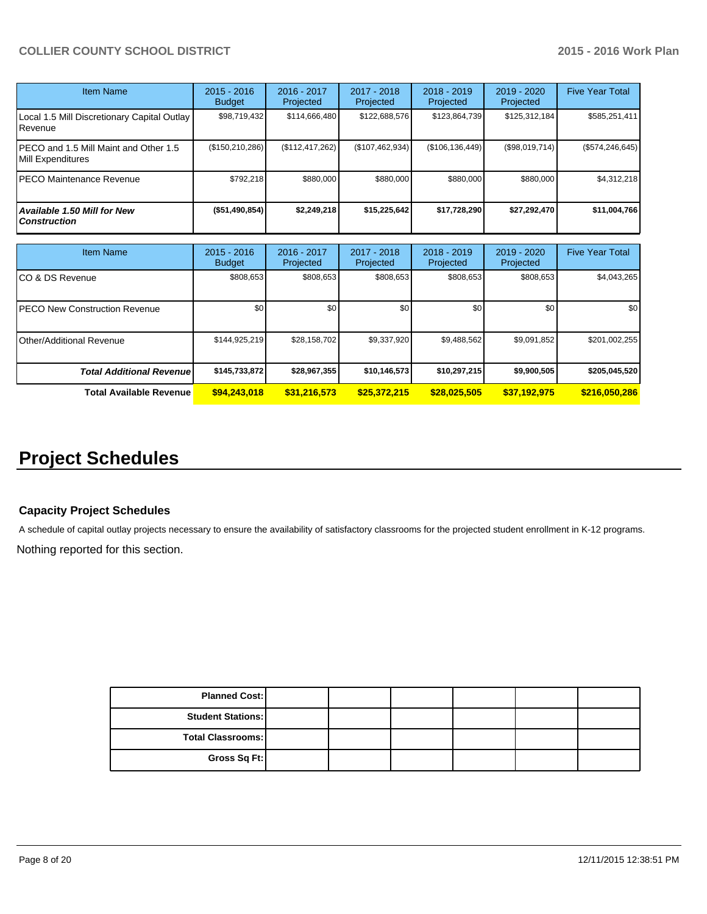| Item Name                                                  | $2015 - 2016$<br><b>Budget</b> | $2016 - 2017$<br>Projected | $2017 - 2018$<br>Projected | $2018 - 2019$<br>Projected | $2019 - 2020$<br>Projected | <b>Five Year Total</b> |
|------------------------------------------------------------|--------------------------------|----------------------------|----------------------------|----------------------------|----------------------------|------------------------|
| Local 1.5 Mill Discretionary Capital Outlay<br>.Revenue    | \$98,719,432                   | \$114,666,480              | \$122,688,576              | \$123,864,739              | \$125,312,184              | \$585,251,411          |
| PECO and 1.5 Mill Maint and Other 1.5<br>Mill Expenditures | (\$150, 210, 286)              | (\$112, 417, 262)          | (\$107,462,934)            | (S106, 136, 449)           | (\$98,019,714)             | (\$574, 246, 645)      |
| PECO Maintenance Revenue                                   | \$792.218                      | \$880,000                  | \$880,000                  | \$880,000                  | \$880,000                  | \$4,312,218            |
| Available 1.50 Mill for New<br><b>Construction</b>         | (\$51,490,854)                 | \$2,249,218                | \$15,225,642               | \$17,728,290               | \$27,292,470               | \$11,004,766           |

| Item Name                             | $2015 - 2016$<br><b>Budget</b> | $2016 - 2017$<br>Projected | $2017 - 2018$<br>Projected | $2018 - 2019$<br>Projected | $2019 - 2020$<br>Projected | <b>Five Year Total</b> |
|---------------------------------------|--------------------------------|----------------------------|----------------------------|----------------------------|----------------------------|------------------------|
| ICO & DS Revenue                      | \$808,653                      | \$808,653                  | \$808,653                  | \$808,653                  | \$808,653                  | \$4,043,265            |
| <b>IPECO New Construction Revenue</b> | \$0 <sub>1</sub>               | \$0                        | \$0                        | \$0                        | \$0                        | \$0 <sub>1</sub>       |
| IOther/Additional Revenue             | \$144,925,219                  | \$28,158,702               | \$9,337,920                | \$9,488,562                | \$9,091,852                | \$201,002,255          |
| <b>Total Additional Revenuel</b>      | \$145,733,872                  | \$28,967,355               | \$10,146,573               | \$10,297,215               | \$9,900,505                | \$205,045,520          |
| <b>Total Available Revenue</b>        | \$94,243,018                   | \$31,216,573               | \$25,372,215               | \$28,025,505               | \$37,192,975               | \$216,050,286          |

## **Project Schedules**

### **Capacity Project Schedules**

A schedule of capital outlay projects necessary to ensure the availability of satisfactory classrooms for the projected student enrollment in K-12 programs.

Nothing reported for this section.

| <b>Planned Cost:</b>     |  |  |  |
|--------------------------|--|--|--|
| <b>Student Stations:</b> |  |  |  |
| <b>Total Classrooms:</b> |  |  |  |
| Gross Sq Ft:             |  |  |  |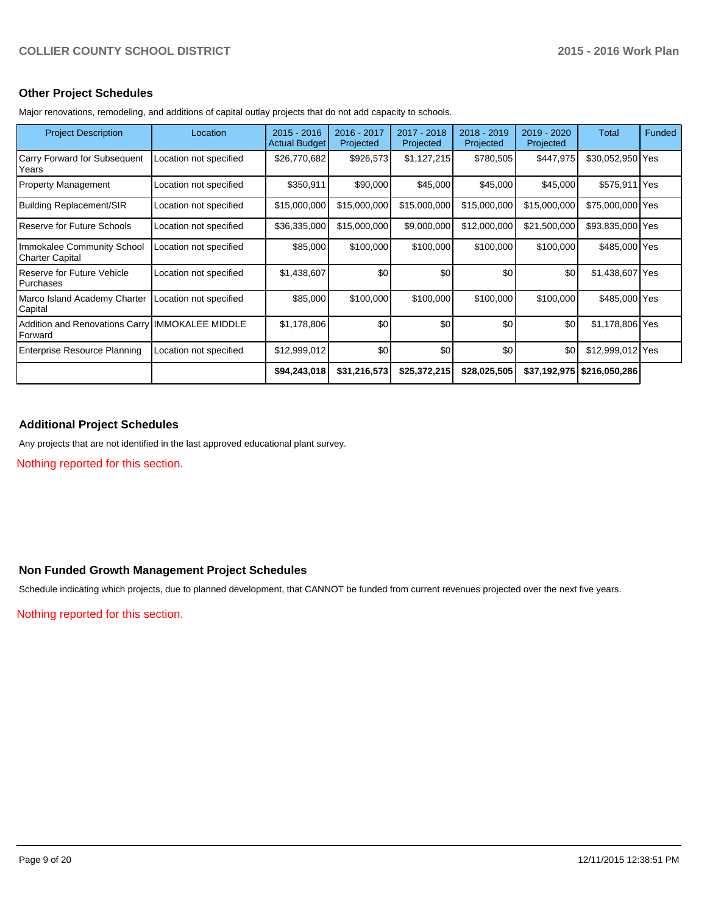#### **Other Project Schedules**

Major renovations, remodeling, and additions of capital outlay projects that do not add capacity to schools.

| <b>Project Description</b>                                 | Location               | $2015 - 2016$<br><b>Actual Budget</b> | 2016 - 2017<br>Projected | 2017 - 2018<br>Projected | 2018 - 2019<br>Projected | 2019 - 2020<br>Projected | Total            | Funded |
|------------------------------------------------------------|------------------------|---------------------------------------|--------------------------|--------------------------|--------------------------|--------------------------|------------------|--------|
| Carry Forward for Subsequent<br>Years                      | Location not specified | \$26,770,682                          | \$926,573                | \$1,127,215              | \$780,505                | \$447,975                | \$30,052,950 Yes |        |
| <b>Property Management</b>                                 | Location not specified | \$350,911                             | \$90,000                 | \$45,000                 | \$45,000                 | \$45,000                 | \$575,911 Yes    |        |
| Building Replacement/SIR                                   | Location not specified | \$15,000,000                          | \$15,000,000             | \$15,000,000             | \$15,000,000             | \$15,000,000             | \$75,000,000 Yes |        |
| Reserve for Future Schools                                 | Location not specified | \$36,335,000                          | \$15,000,000             | \$9,000,000              | \$12,000,000             | \$21,500,000             | \$93,835,000 Yes |        |
| Immokalee Community School<br><b>Charter Capital</b>       | Location not specified | \$85,000                              | \$100,000                | \$100,000                | \$100,000                | \$100,000                | \$485,000 Yes    |        |
| <b>Reserve for Future Vehicle</b><br>Purchases             | Location not specified | \$1,438,607                           | \$0                      | \$0                      | \$0                      | \$0                      | \$1,438,607 Yes  |        |
| Marco Island Academy Charter<br>Capital                    | Location not specified | \$85,000                              | \$100,000                | \$100,000                | \$100,000                | \$100,000                | \$485,000 Yes    |        |
| Addition and Renovations Carry IMMOKALEE MIDDLE<br>Forward |                        | \$1,178,806                           | \$0                      | \$0                      | \$0                      | \$0                      | \$1,178,806 Yes  |        |
| <b>Enterprise Resource Planning</b>                        | Location not specified | \$12,999,012                          | \$0                      | \$0                      | \$0                      | \$0                      | \$12,999,012 Yes |        |
|                                                            |                        | \$94,243,018                          | \$31,216,573             | \$25,372,215             | \$28,025,505             | \$37,192,975             | \$216,050,286    |        |

## **Additional Project Schedules**

Any projects that are not identified in the last approved educational plant survey.

Nothing reported for this section.

#### **Non Funded Growth Management Project Schedules**

Schedule indicating which projects, due to planned development, that CANNOT be funded from current revenues projected over the next five years.

Nothing reported for this section.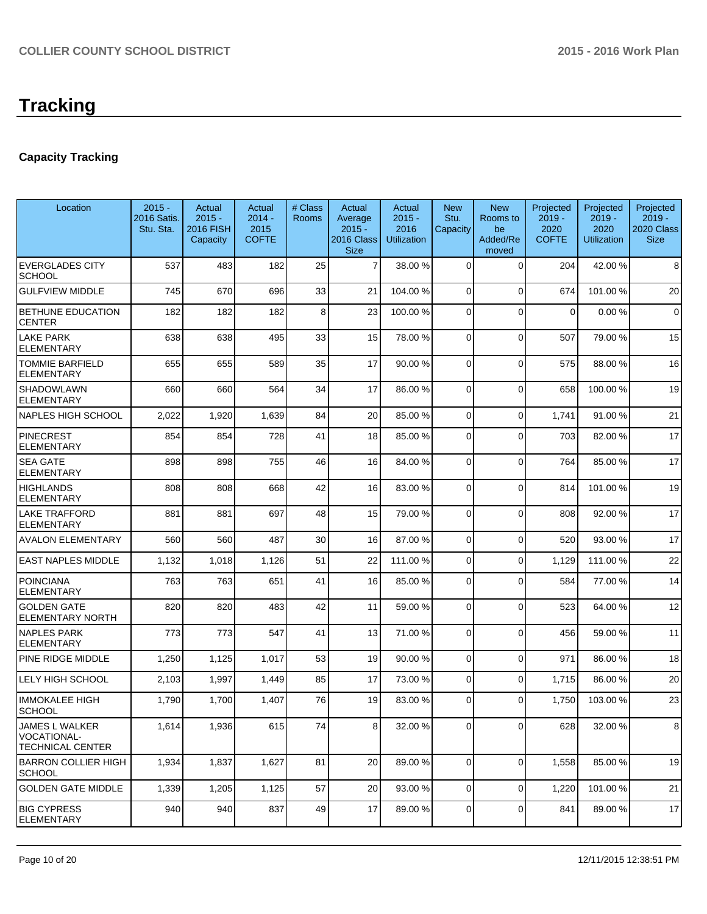## **Capacity Tracking**

| Location                                                 | $2015 -$<br>2016 Satis.<br>Stu. Sta. | Actual<br>$2015 -$<br><b>2016 FISH</b><br>Capacity | Actual<br>$2014 -$<br>2015<br><b>COFTE</b> | # Class<br><b>Rooms</b> | Actual<br>Average<br>$2015 -$<br>2016 Class<br><b>Size</b> | Actual<br>$2015 -$<br>2016<br><b>Utilization</b> | <b>New</b><br>Stu.<br>Capacity | <b>New</b><br>Rooms to<br>be<br>Added/Re<br>moved | Projected<br>$2019 -$<br>2020<br><b>COFTE</b> | Projected<br>$2019 -$<br>2020<br><b>Utilization</b> | Projected<br>2019 -<br>2020 Class<br><b>Size</b> |
|----------------------------------------------------------|--------------------------------------|----------------------------------------------------|--------------------------------------------|-------------------------|------------------------------------------------------------|--------------------------------------------------|--------------------------------|---------------------------------------------------|-----------------------------------------------|-----------------------------------------------------|--------------------------------------------------|
| <b>EVERGLADES CITY</b><br><b>SCHOOL</b>                  | 537                                  | 483                                                | 182                                        | 25                      | $\overline{7}$                                             | 38.00 %                                          | $\Omega$                       | $\Omega$                                          | 204                                           | 42.00%                                              | 8                                                |
| <b>GULFVIEW MIDDLE</b>                                   | 745                                  | 670                                                | 696                                        | 33                      | 21                                                         | 104.00 %                                         | 0                              | $\Omega$                                          | 674                                           | 101.00%                                             | 20                                               |
| <b>BETHUNE EDUCATION</b><br><b>CENTER</b>                | 182                                  | 182                                                | 182                                        | 8                       | 23                                                         | 100.00%                                          | 0                              | $\Omega$                                          | $\Omega$                                      | 0.00%                                               | $\mathbf 0$                                      |
| <b>LAKE PARK</b><br><b>ELEMENTARY</b>                    | 638                                  | 638                                                | 495                                        | 33                      | 15                                                         | 78.00 %                                          | 0                              | $\Omega$                                          | 507                                           | 79.00 %                                             | 15                                               |
| <b>TOMMIE BARFIELD</b><br><b>ELEMENTARY</b>              | 655                                  | 655                                                | 589                                        | 35                      | 17                                                         | 90.00 %                                          | 0                              | $\Omega$                                          | 575                                           | 88.00 %                                             | 16                                               |
| SHADOWLAWN<br>ELEMENTARY                                 | 660                                  | 660                                                | 564                                        | 34                      | 17                                                         | 86.00 %                                          | $\Omega$                       | $\Omega$                                          | 658                                           | 100.00%                                             | 19                                               |
| NAPLES HIGH SCHOOL                                       | 2,022                                | 1,920                                              | 1,639                                      | 84                      | 20                                                         | 85.00 %                                          | 0                              | $\overline{0}$                                    | 1,741                                         | 91.00%                                              | 21                                               |
| <b>PINECREST</b><br><b>ELEMENTARY</b>                    | 854                                  | 854                                                | 728                                        | 41                      | 18                                                         | 85.00 %                                          | 0                              | $\Omega$                                          | 703                                           | 82.00 %                                             | 17                                               |
| <b>SEA GATE</b><br><b>ELEMENTARY</b>                     | 898                                  | 898                                                | 755                                        | 46                      | 16                                                         | 84.00 %                                          | 0                              | $\Omega$                                          | 764                                           | 85.00 %                                             | 17                                               |
| <b>HIGHLANDS</b><br><b>ELEMENTARY</b>                    | 808                                  | 808                                                | 668                                        | 42                      | 16                                                         | 83.00 %                                          | 0                              | $\Omega$                                          | 814                                           | 101.00 %                                            | 19                                               |
| LAKE TRAFFORD<br>ELEMENTARY                              | 881                                  | 881                                                | 697                                        | 48                      | 15                                                         | 79.00 %                                          | 0                              | $\Omega$                                          | 808                                           | 92.00%                                              | 17                                               |
| <b>AVALON ELEMENTARY</b>                                 | 560                                  | 560                                                | 487                                        | 30                      | 16                                                         | 87.00 %                                          | 0                              | $\Omega$                                          | 520                                           | 93.00 %                                             | 17                                               |
| <b>EAST NAPLES MIDDLE</b>                                | 1,132                                | 1,018                                              | 1,126                                      | 51                      | 22                                                         | 111.00 %                                         | 0                              | $\Omega$                                          | 1,129                                         | 111.00%                                             | 22                                               |
| <b>POINCIANA</b><br>ELEMENTARY                           | 763                                  | 763                                                | 651                                        | 41                      | 16                                                         | 85.00 %                                          | 0                              | $\Omega$                                          | 584                                           | 77.00 %                                             | 14                                               |
| <b>GOLDEN GATE</b><br><b>ELEMENTARY NORTH</b>            | 820                                  | 820                                                | 483                                        | 42                      | 11                                                         | 59.00 %                                          | 0                              | $\Omega$                                          | 523                                           | 64.00%                                              | 12                                               |
| <b>NAPLES PARK</b><br><b>ELEMENTARY</b>                  | 773                                  | 773                                                | 547                                        | 41                      | 13                                                         | 71.00 %                                          | 0                              | $\Omega$                                          | 456                                           | 59.00 %                                             | 11                                               |
| PINE RIDGE MIDDLE                                        | 1,250                                | 1,125                                              | 1,017                                      | 53                      | 19                                                         | 90.00 %                                          | $\mathbf 0$                    | $\Omega$                                          | 971                                           | 86.00 %                                             | 18                                               |
| LELY HIGH SCHOOL                                         | 2,103                                | 1,997                                              | 1,449                                      | 85                      | 17                                                         | 73.00 %                                          | 0                              | $\Omega$                                          | 1,715                                         | 86.00 %                                             | 20                                               |
| <b>IMMOKALEE HIGH</b><br><b>SCHOOL</b>                   | 1,790                                | 1,700                                              | 1,407                                      | 76                      | 19                                                         | 83.00 %                                          | 0                              | $\Omega$                                          | 1,750                                         | 103.00%                                             | 23                                               |
| JAMES L WALKER<br>VOCATIONAL-<br><b>TECHNICAL CENTER</b> | 1,614                                | 1,936                                              | 615                                        | 74                      | 8 <sup>1</sup>                                             | 32.00 %                                          | $\mathbf 0$                    | $\Omega$                                          | 628                                           | 32.00 %                                             | 8                                                |
| <b>BARRON COLLIER HIGH</b><br><b>SCHOOL</b>              | 1,934                                | 1,837                                              | 1,627                                      | 81                      | 20                                                         | 89.00 %                                          | $\overline{0}$                 | $\Omega$                                          | 1,558                                         | 85.00 %                                             | 19                                               |
| <b>GOLDEN GATE MIDDLE</b>                                | 1,339                                | 1,205                                              | 1,125                                      | 57                      | 20                                                         | 93.00 %                                          | $\overline{0}$                 | $\Omega$                                          | 1,220                                         | 101.00%                                             | 21                                               |
| <b>BIG CYPRESS</b><br><b>ELEMENTARY</b>                  | 940                                  | 940                                                | 837                                        | 49                      | 17                                                         | 89.00 %                                          | 0                              | $\Omega$                                          | 841                                           | 89.00 %                                             | 17                                               |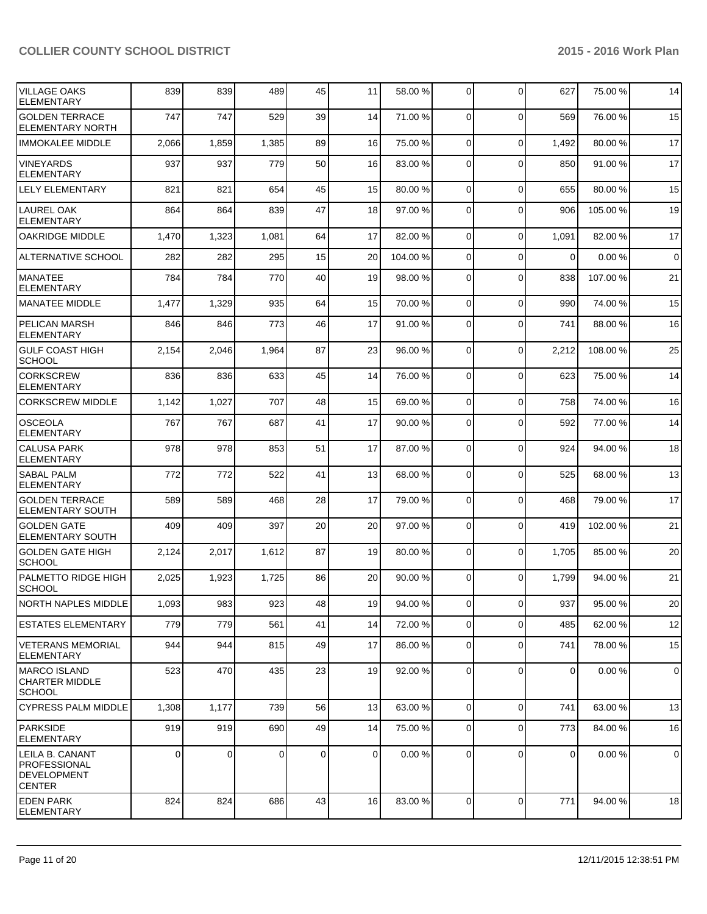| <b>VILLAGE OAKS</b><br><b>ELEMENTARY</b>                                      | 839   | 839   | 489      | 45 | 11       | 58.00 %  | $\overline{0}$ | $\Omega$       | 627         | 75.00 %  | 14          |
|-------------------------------------------------------------------------------|-------|-------|----------|----|----------|----------|----------------|----------------|-------------|----------|-------------|
| <b>GOLDEN TERRACE</b><br>ELEMENTARY NORTH                                     | 747   | 747   | 529      | 39 | 14       | 71.00 %  | $\Omega$       | $\Omega$       | 569         | 76.00 %  | 15          |
| <b>IMMOKALEE MIDDLE</b>                                                       | 2,066 | 1,859 | 1,385    | 89 | 16       | 75.00 %  | $\overline{0}$ | $\mathbf 0$    | 1,492       | 80.00%   | 17          |
| <b>VINEYARDS</b><br><b>ELEMENTARY</b>                                         | 937   | 937   | 779      | 50 | 16       | 83.00 %  | $\overline{0}$ | $\Omega$       | 850         | 91.00 %  | 17          |
| <b>LELY ELEMENTARY</b>                                                        | 821   | 821   | 654      | 45 | 15       | 80.00 %  | $\overline{0}$ | $\Omega$       | 655         | 80.00%   | 15          |
| <b>LAUREL OAK</b><br><b>ELEMENTARY</b>                                        | 864   | 864   | 839      | 47 | 18       | 97.00 %  | $\overline{0}$ | $\Omega$       | 906         | 105.00 % | 19          |
| <b>OAKRIDGE MIDDLE</b>                                                        | 1,470 | 1,323 | 1,081    | 64 | 17       | 82.00 %  | 0              | $\Omega$       | 1,091       | 82.00 %  | 17          |
| <b>ALTERNATIVE SCHOOL</b>                                                     | 282   | 282   | 295      | 15 | 20       | 104.00 % | 0              | $\Omega$       | $\Omega$    | 0.00%    | $\mathbf 0$ |
| <b>MANATEE</b><br><b>ELEMENTARY</b>                                           | 784   | 784   | 770      | 40 | 19       | 98.00 %  | 0              | $\mathbf 0$    | 838         | 107.00%  | 21          |
| MANATEE MIDDLE                                                                | 1,477 | 1,329 | 935      | 64 | 15       | 70.00 %  | $\Omega$       | $\Omega$       | 990         | 74.00%   | 15          |
| <b>PELICAN MARSH</b><br><b>ELEMENTARY</b>                                     | 846   | 846   | 773      | 46 | 17       | 91.00 %  | $\Omega$       | $\Omega$       | 741         | 88.00 %  | 16          |
| <b>GULF COAST HIGH</b><br><b>SCHOOL</b>                                       | 2,154 | 2,046 | 1,964    | 87 | 23       | 96.00 %  | $\Omega$       | $\mathbf 0$    | 2,212       | 108.00%  | 25          |
| <b>CORKSCREW</b><br><b>ELEMENTARY</b>                                         | 836   | 836   | 633      | 45 | 14       | 76.00 %  | $\Omega$       | $\Omega$       | 623         | 75.00 %  | 14          |
| <b>CORKSCREW MIDDLE</b>                                                       | 1,142 | 1,027 | 707      | 48 | 15       | 69.00 %  | $\Omega$       | $\Omega$       | 758         | 74.00%   | 16          |
| <b>OSCEOLA</b><br><b>ELEMENTARY</b>                                           | 767   | 767   | 687      | 41 | 17       | 90.00 %  | $\Omega$       | $\Omega$       | 592         | 77.00 %  | 14          |
| <b>CALUSA PARK</b><br><b>ELEMENTARY</b>                                       | 978   | 978   | 853      | 51 | 17       | 87.00 %  | $\Omega$       | $\mathbf 0$    | 924         | 94.00%   | 18          |
| <b>SABAL PALM</b><br><b>ELEMENTARY</b>                                        | 772   | 772   | 522      | 41 | 13       | 68.00 %  | $\Omega$       | $\Omega$       | 525         | 68.00%   | 13          |
| <b>GOLDEN TERRACE</b><br><b>ELEMENTARY SOUTH</b>                              | 589   | 589   | 468      | 28 | 17       | 79.00 %  | $\Omega$       | $\Omega$       | 468         | 79.00 %  | 17          |
| <b>GOLDEN GATE</b><br><b>ELEMENTARY SOUTH</b>                                 | 409   | 409   | 397      | 20 | 20       | 97.00 %  | $\Omega$       | $\Omega$       | 419         | 102.00%  | 21          |
| <b>GOLDEN GATE HIGH</b><br><b>SCHOOL</b>                                      | 2,124 | 2,017 | 1,612    | 87 | 19       | 80.00 %  | $\Omega$       | $\mathbf 0$    | 1,705       | 85.00 %  | 20          |
| PALMETTO RIDGE HIGH<br><b>SCHOOL</b>                                          | 2,025 | 1,923 | 1,725    | 86 | 20       | 90.00 %  | $\Omega$       | $\Omega$       | 1,799       | 94.00%   | 21          |
| NORTH NAPLES MIDDLE                                                           | 1,093 | 983   | 923      | 48 | 19       | 94.00 %  | οI             | $\overline{0}$ | 937         | 95.00 %  | 20          |
| <b>ESTATES ELEMENTARY</b>                                                     | 779   | 779   | 561      | 41 | 14       | 72.00 %  | $\overline{0}$ | $\Omega$       | 485         | 62.00%   | 12          |
| VETERANS MEMORIAL<br>ELEMENTARY                                               | 944   | 944   | 815      | 49 | 17       | 86.00 %  | $\overline{0}$ | $\mathbf 0$    | 741         | 78.00 %  | 15          |
| <b>MARCO ISLAND</b><br><b>CHARTER MIDDLE</b><br><b>SCHOOL</b>                 | 523   | 470   | 435      | 23 | 19       | 92.00 %  | $\overline{0}$ | $\Omega$       | $\mathbf 0$ | 0.00%    | $\mathbf 0$ |
| <b>CYPRESS PALM MIDDLE</b>                                                    | 1,308 | 1,177 | 739      | 56 | 13       | 63.00 %  | $\overline{0}$ | $\mathbf 0$    | 741         | 63.00 %  | 13          |
| PARKSIDE<br>ELEMENTARY                                                        | 919   | 919   | 690      | 49 | 14       | 75.00 %  | $\overline{0}$ | $\mathbf 0$    | 773         | 84.00%   | 16          |
| LEILA B. CANANT<br><b>PROFESSIONAL</b><br><b>DEVELOPMENT</b><br><b>CENTER</b> | 0     | 0     | $\Omega$ | 0  | $\Omega$ | 0.00 %   | $\Omega$       | $\Omega$       | 0           | 0.00%    | $\mathbf 0$ |
| <b>EDEN PARK</b><br><b>ELEMENTARY</b>                                         | 824   | 824   | 686      | 43 | 16       | 83.00 %  | $\Omega$       | $\mathbf 0$    | 771         | 94.00%   | 18          |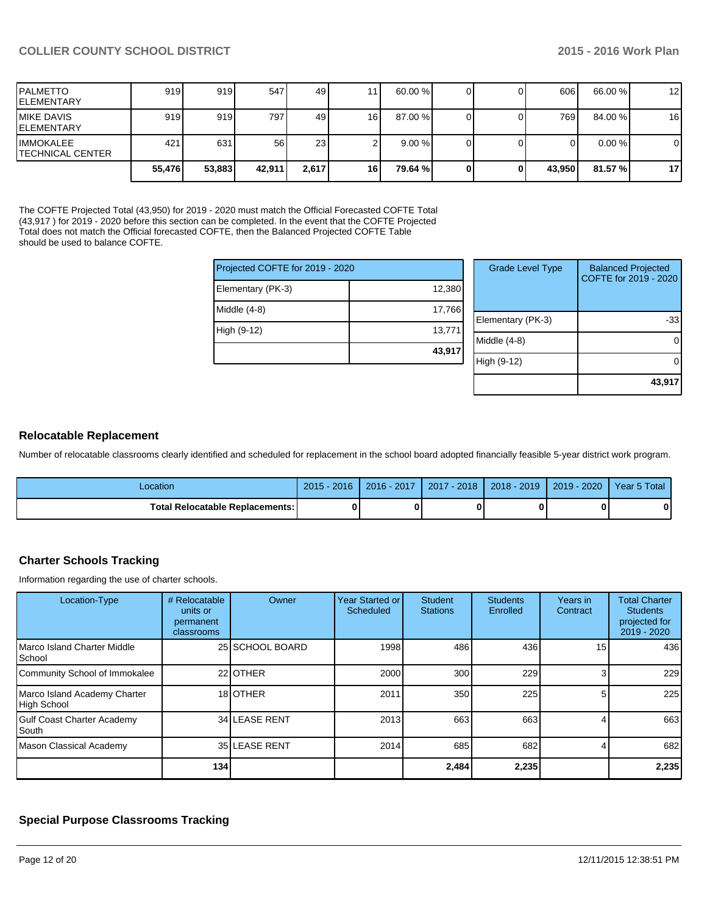**43,917**

| <b>IPALMETTO</b><br><b>IELEMENTARY</b>       | 919    | 919    | 547    | 49              |      | 60.00%   |   | 606    | 66.00 %   | 12             |
|----------------------------------------------|--------|--------|--------|-----------------|------|----------|---|--------|-----------|----------------|
| <b>IMIKE DAVIS</b><br>IELEMENTARY            | 919    | 919    | 7971   | 49              | 16   | 87.00 %  |   | 769    | 84.00 %   | 16             |
| <b>IIMMOKALEE</b><br><b>TECHNICAL CENTER</b> | 421    | 631    | 56     | 23 <sub>l</sub> |      | $9.00\%$ |   |        | $0.00 \%$ | $\overline{0}$ |
|                                              | 55.476 | 53,883 | 42,911 | 2,617           | 16 I | 79.64 %  | 0 | 43,950 | 81.57 %   | 17             |

The COFTE Projected Total (43,950) for 2019 - 2020 must match the Official Forecasted COFTE Total (43,917 ) for 2019 - 2020 before this section can be completed. In the event that the COFTE Projected Total does not match the Official forecasted COFTE, then the Balanced Projected COFTE Table should be used to balance COFTE.

| Projected COFTE for 2019 - 2020 |        | <b>Grade Level Type</b> | <b>Balanced Projected</b><br>COFTE for 2019 - 2020 |
|---------------------------------|--------|-------------------------|----------------------------------------------------|
| Elementary (PK-3)               | 12,380 |                         |                                                    |
| Middle $(4-8)$                  | 17,766 |                         |                                                    |
|                                 |        | Elementary (PK-3)       | -33                                                |
| High (9-12)                     | 13,771 |                         |                                                    |
|                                 |        | Middle (4-8)            |                                                    |
|                                 | 43,917 |                         |                                                    |
|                                 |        | High (9-12)             |                                                    |
|                                 |        |                         |                                                    |

#### **Relocatable Replacement**

Number of relocatable classrooms clearly identified and scheduled for replacement in the school board adopted financially feasible 5-year district work program.

| Location                                 | $2015 - 2016$ | $2016 - 2017$ | 2017 - 2018 | $2018 - 2019$ | 2019 - 2020 | Year 5 Total |
|------------------------------------------|---------------|---------------|-------------|---------------|-------------|--------------|
| <b>Total Relocatable Replacements: I</b> |               | o             |             |               |             |              |

## **Charter Schools Tracking**

Information regarding the use of charter schools.

| Location-Type                                      | # Relocatable<br>units or<br>permanent<br>classrooms | Owner           | Year Started or<br>Scheduled | Student<br><b>Stations</b> | <b>Students</b><br>Enrolled | Years in<br>Contract | <b>Total Charter</b><br><b>Students</b><br>projected for<br>2019 - 2020 |
|----------------------------------------------------|------------------------------------------------------|-----------------|------------------------------|----------------------------|-----------------------------|----------------------|-------------------------------------------------------------------------|
| Marco Island Charter Middle<br>School              |                                                      | 25 SCHOOL BOARD | 1998                         | 486                        | 436                         | 15                   | 436                                                                     |
| Community School of Immokalee                      |                                                      | 22 OTHER        | 2000                         | 300                        | 229                         |                      | 229                                                                     |
| Marco Island Academy Charter<br><b>High School</b> |                                                      | 18 <b>OTHER</b> | 2011                         | 350                        | 225                         |                      | 225                                                                     |
| <b>Gulf Coast Charter Academy</b><br>South         |                                                      | 34 LEASE RENT   | 2013                         | 663                        | 663                         |                      | 663                                                                     |
| Mason Classical Academy                            |                                                      | 35 LEASE RENT   | 2014                         | 685                        | 682                         |                      | 682                                                                     |
|                                                    | 134                                                  |                 |                              | 2,484                      | 2,235                       |                      | 2,235                                                                   |

## **Special Purpose Classrooms Tracking**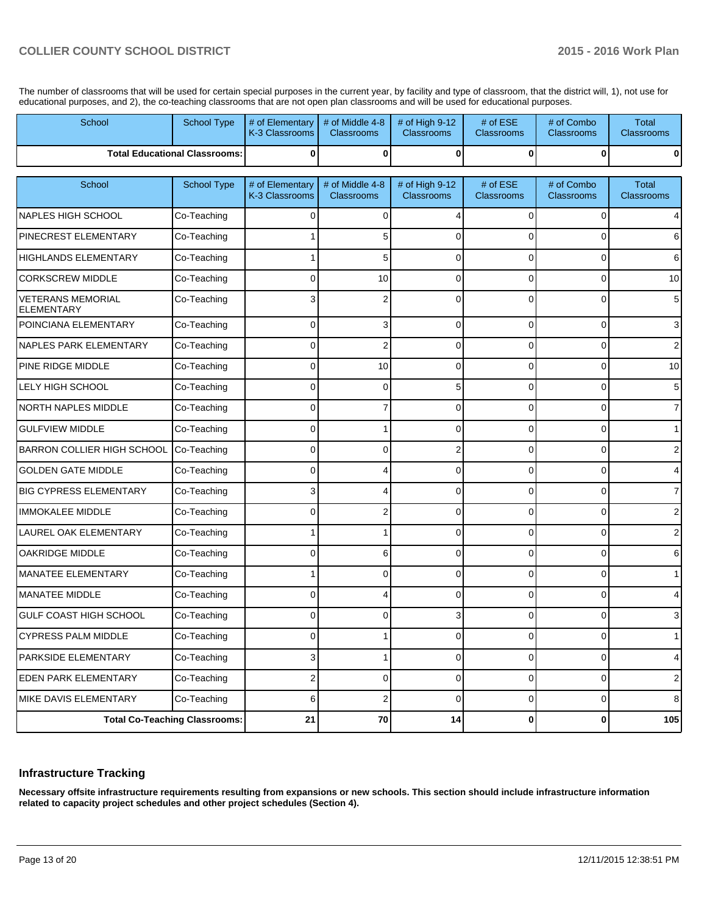The number of classrooms that will be used for certain special purposes in the current year, by facility and type of classroom, that the district will, 1), not use for educational purposes, and 2), the co-teaching classrooms that are not open plan classrooms and will be used for educational purposes.

| School                                        | <b>School Type</b>                   | # of Elementary<br>K-3 Classrooms | # of Middle 4-8<br><b>Classrooms</b> | # of High 9-12<br><b>Classrooms</b> | # of ESE<br><b>Classrooms</b> | # of Combo<br><b>Classrooms</b> | Total<br><b>Classrooms</b>        |
|-----------------------------------------------|--------------------------------------|-----------------------------------|--------------------------------------|-------------------------------------|-------------------------------|---------------------------------|-----------------------------------|
|                                               | <b>Total Educational Classrooms:</b> | $\bf{0}$                          | $\bf{0}$                             | $\bf{0}$                            | $\mathbf{0}$                  | 0                               | 0                                 |
| School                                        | <b>School Type</b>                   | # of Elementary<br>K-3 Classrooms | # of Middle 4-8<br><b>Classrooms</b> | # of High 9-12<br>Classrooms        | # of ESE<br><b>Classrooms</b> | # of Combo<br><b>Classrooms</b> | <b>Total</b><br><b>Classrooms</b> |
| <b>NAPLES HIGH SCHOOL</b>                     | Co-Teaching                          | 0                                 | $\Omega$                             |                                     | $\Omega$                      | 0                               |                                   |
| PINECREST ELEMENTARY                          | Co-Teaching                          |                                   | 5                                    | ŋ                                   | O                             |                                 | 6                                 |
| <b>HIGHLANDS ELEMENTARY</b>                   | Co-Teaching                          |                                   | 5                                    | 0                                   | $\Omega$                      | $\Omega$                        | 6                                 |
| <b>CORKSCREW MIDDLE</b>                       | Co-Teaching                          | U                                 | 10                                   | $\Omega$                            | $\Omega$                      | $\Omega$                        | 10                                |
| <b>VETERANS MEMORIAL</b><br><b>ELEMENTARY</b> | Co-Teaching                          |                                   |                                      | 0                                   | $\Omega$                      |                                 | 5 <sup>1</sup>                    |
| POINCIANA ELEMENTARY                          | Co-Teaching                          | $\mathbf 0$                       | 3                                    | 0                                   | $\Omega$                      | 0                               | 3                                 |
| <b>NAPLES PARK ELEMENTARY</b>                 | Co-Teaching                          | $\Omega$                          | 2                                    | $\Omega$                            | $\Omega$                      | $\Omega$                        | $\overline{2}$                    |
| PINE RIDGE MIDDLE                             | Co-Teaching                          | 0                                 | 10                                   | $\mathbf 0$                         | $\Omega$                      | 0                               | 10                                |
| <b>LELY HIGH SCHOOL</b>                       | Co-Teaching                          | $\Omega$                          | $\mathbf 0$                          | 5                                   | $\Omega$                      | $\Omega$                        | 5 <sub>5</sub>                    |
| <b>NORTH NAPLES MIDDLE</b>                    | Co-Teaching                          | $\Omega$                          | 7                                    | $\mathbf 0$                         | $\Omega$                      | $\Omega$                        | 7                                 |
| <b>GULFVIEW MIDDLE</b>                        | Co-Teaching                          | $\Omega$                          |                                      | 0                                   | $\Omega$                      | 0                               | 1                                 |
| <b>BARRON COLLIER HIGH SCHOOL</b>             | Co-Teaching                          | $\Omega$                          | 0                                    | 2                                   | $\Omega$                      | $\Omega$                        | 2                                 |
| <b>GOLDEN GATE MIDDLE</b>                     | Co-Teaching                          | $\Omega$                          |                                      | $\Omega$                            | $\Omega$                      | $\Omega$                        | 4                                 |
| <b>BIG CYPRESS ELEMENTARY</b>                 | Co-Teaching                          | 3                                 |                                      | $\mathbf 0$                         | $\Omega$                      | 0                               | 7                                 |
| <b>IMMOKALEE MIDDLE</b>                       | Co-Teaching                          | 0                                 | 2                                    | $\Omega$                            | $\Omega$                      | $\Omega$                        | 2                                 |
| LAUREL OAK ELEMENTARY                         | Co-Teaching                          |                                   |                                      | $\mathbf 0$                         | $\Omega$                      | $\Omega$                        | 2                                 |
| <b>OAKRIDGE MIDDLE</b>                        | Co-Teaching                          | 0                                 | 6                                    | 0                                   | $\Omega$                      | 0                               | 6                                 |
| MANATEE ELEMENTARY                            | Co-Teaching                          |                                   | 0                                    | $\mathbf 0$                         | $\Omega$                      | $\Omega$                        | 1                                 |
| MANATEE MIDDLE                                | Co-Teaching                          | 0                                 |                                      | 0                                   | $\Omega$                      | 0                               | 4                                 |
| <b>GULF COAST HIGH SCHOOL</b>                 | Co-Teaching                          | $\Omega$                          | $\Omega$                             | 3                                   | $\Omega$                      | 0                               | 3                                 |
| CYPRESS PALM MIDDLE                           | Co-Teaching                          | υ                                 |                                      | U                                   | υ                             | U                               | Ш                                 |
| <b>PARKSIDE ELEMENTARY</b>                    | Co-Teaching                          | 3 <sup>1</sup>                    | $\mathbf{1}$                         | $\overline{0}$                      | $\overline{0}$                | $\mathbf 0$                     | $\overline{4}$                    |
| <b>EDEN PARK ELEMENTARY</b>                   | Co-Teaching                          | $\overline{2}$                    | $\overline{0}$                       | 0                                   | $\overline{0}$                | $\mathbf 0$                     | $2 \mid$                          |
| MIKE DAVIS ELEMENTARY                         | Co-Teaching                          | 6                                 | $\mathbf 2$                          | 0                                   | $\overline{0}$                | 0                               | 8 <sup>1</sup>                    |
| <b>Total Co-Teaching Classrooms:</b>          |                                      | 21                                | 70                                   | 14                                  | $\mathbf{0}$                  | $\pmb{0}$                       | 105                               |

#### **Infrastructure Tracking**

**Necessary offsite infrastructure requirements resulting from expansions or new schools. This section should include infrastructure information related to capacity project schedules and other project schedules (Section 4).**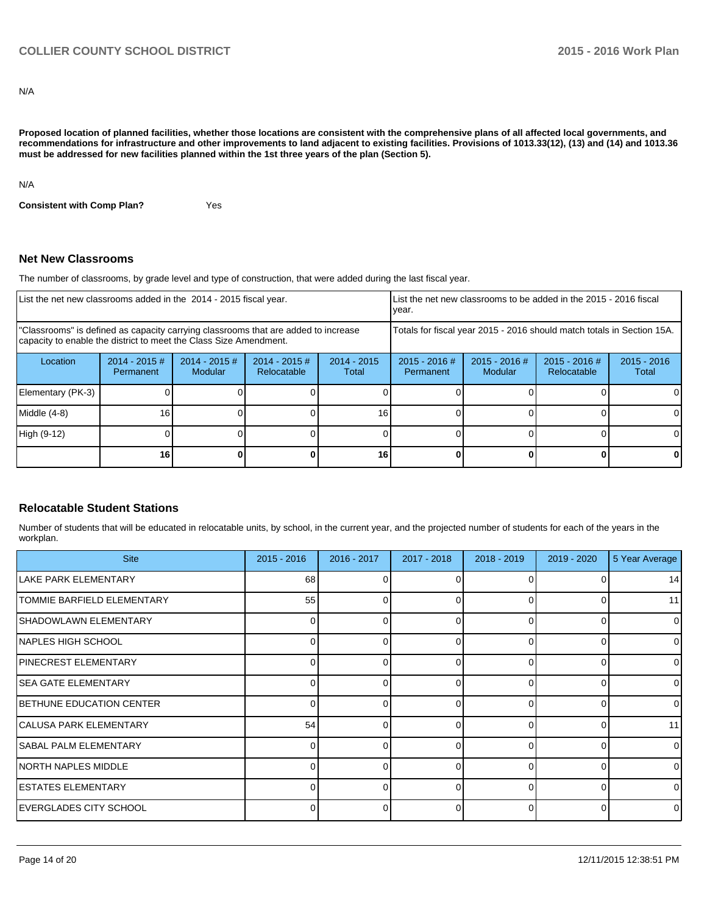N/A

**Proposed location of planned facilities, whether those locations are consistent with the comprehensive plans of all affected local governments, and recommendations for infrastructure and other improvements to land adjacent to existing facilities. Provisions of 1013.33(12), (13) and (14) and 1013.36 must be addressed for new facilities planned within the 1st three years of the plan (Section 5).**

N/A

**Consistent with Comp Plan?** Yes

#### **Net New Classrooms**

The number of classrooms, by grade level and type of construction, that were added during the last fiscal year.

| List the net new classrooms added in the 2014 - 2015 fiscal year.                                                                                       |                              |                                   |                                |                        | Ivear.                                                                 |                            | List the net new classrooms to be added in the 2015 - 2016 fiscal |                        |
|---------------------------------------------------------------------------------------------------------------------------------------------------------|------------------------------|-----------------------------------|--------------------------------|------------------------|------------------------------------------------------------------------|----------------------------|-------------------------------------------------------------------|------------------------|
| "Classrooms" is defined as capacity carrying classrooms that are added to increase<br>capacity to enable the district to meet the Class Size Amendment. |                              |                                   |                                |                        | Totals for fiscal year 2015 - 2016 should match totals in Section 15A. |                            |                                                                   |                        |
| Location                                                                                                                                                | $2014 - 2015$ #<br>Permanent | $2014 - 2015$ #<br><b>Modular</b> | $2014 - 2015$ #<br>Relocatable | $2014 - 2015$<br>Total | $2015 - 2016$ #<br>Permanent                                           | $2015 - 2016$ #<br>Modular | $2015 - 2016$ #<br>Relocatable                                    | $2015 - 2016$<br>Total |
| Elementary (PK-3)                                                                                                                                       |                              |                                   |                                |                        |                                                                        |                            |                                                                   | 01                     |
| Middle (4-8)                                                                                                                                            | 16 <sub>1</sub>              |                                   |                                | 16                     |                                                                        |                            |                                                                   |                        |
| High (9-12)                                                                                                                                             |                              |                                   |                                |                        |                                                                        |                            |                                                                   |                        |
|                                                                                                                                                         | 16                           |                                   |                                | 16                     |                                                                        |                            |                                                                   | 0                      |

## **Relocatable Student Stations**

Number of students that will be educated in relocatable units, by school, in the current year, and the projected number of students for each of the years in the workplan.

| <b>Site</b>                    | $2015 - 2016$ | 2016 - 2017 | 2017 - 2018 | 2018 - 2019  | 2019 - 2020 | 5 Year Average |
|--------------------------------|---------------|-------------|-------------|--------------|-------------|----------------|
| llake park elementary          | 68            |             |             |              |             | 14             |
| TOMMIE BARFIELD ELEMENTARY     | 55            |             | o           |              | 0           | 11             |
| <b>SHADOWLAWN ELEMENTARY</b>   | ſ             |             | 0           | 0            | $\Omega$    |                |
| NAPLES HIGH SCHOOL             |               |             |             | 0            | 0           |                |
| IPINECREST ELEMENTARY          |               |             |             |              |             |                |
| <b>SEA GATE ELEMENTARY</b>     |               |             | n           | ∩            | $\Omega$    | U              |
| BETHUNE EDUCATION CENTER       | n             |             | U           | <sup>0</sup> | $\Omega$    | 0              |
| <b>ICALUSA PARK ELEMENTARY</b> | 54            | $\Omega$    | U           | <sup>0</sup> | $\Omega$    | 11             |
| <b>SABAL PALM ELEMENTARY</b>   | n             |             | o           | 0            | $\Omega$    | U              |
| NORTH NAPLES MIDDLE            |               |             | 0           | 0            | $\Omega$    | 0              |
| <b>IESTATES ELEMENTARY</b>     |               |             | n           | 0            | $\Omega$    | o              |
| EVERGLADES CITY SCHOOL         |               |             |             |              |             |                |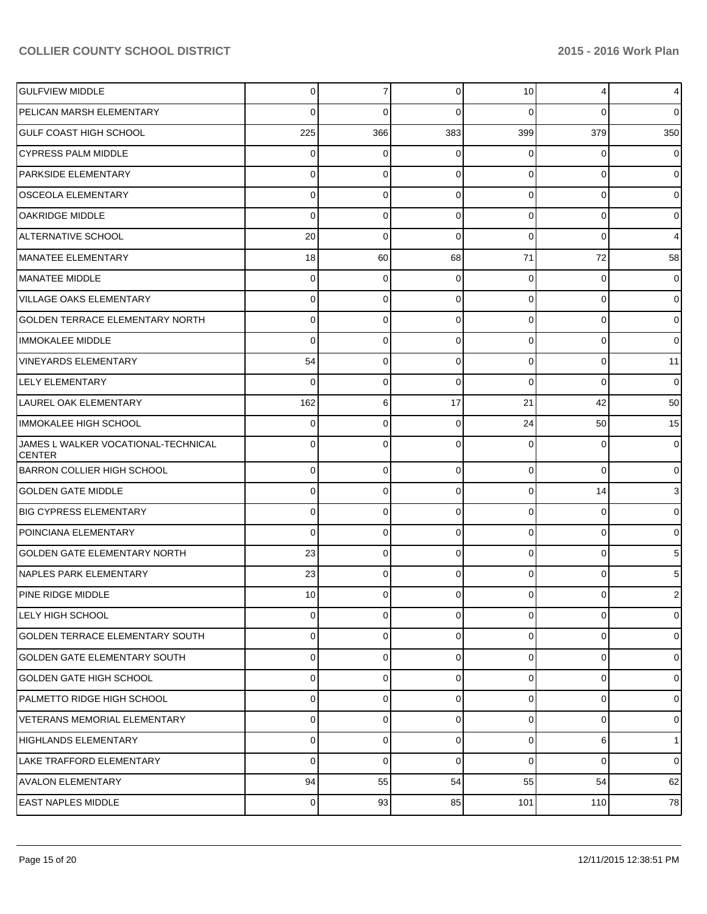| <b>GULFVIEW MIDDLE</b>                               | $\Omega$        | 7           | 0        | 10             | 4           | $\overline{4}$ |
|------------------------------------------------------|-----------------|-------------|----------|----------------|-------------|----------------|
| PELICAN MARSH ELEMENTARY                             | 0               | 0           | 0        | $\Omega$       | $\Omega$    | $\overline{0}$ |
| <b>GULF COAST HIGH SCHOOL</b>                        | 225             | 366         | 383      | 399            | 379         | 350            |
| <b>CYPRESS PALM MIDDLE</b>                           | 0               | $\mathbf 0$ | 0        | $\Omega$       | 0           | $\overline{0}$ |
| <b>PARKSIDE ELEMENTARY</b>                           | 0               | 0           | 0        | $\Omega$       | $\Omega$    | $\overline{0}$ |
| <b>OSCEOLA ELEMENTARY</b>                            | 0               | $\Omega$    | $\Omega$ | $\Omega$       | $\Omega$    | $\overline{0}$ |
| <b>OAKRIDGE MIDDLE</b>                               | 0               | $\Omega$    | $\Omega$ | $\Omega$       | $\Omega$    | $\overline{0}$ |
| <b>ALTERNATIVE SCHOOL</b>                            | 20              | $\mathbf 0$ | $\Omega$ | $\Omega$       | $\Omega$    | $\overline{4}$ |
| MANATEE ELEMENTARY                                   | 18              | 60          | 68       | 71             | 72          | 58             |
| MANATEE MIDDLE                                       | 0               | 0           | 0        | $\Omega$       | $\mathbf 0$ | $\overline{0}$ |
| <b>VILLAGE OAKS ELEMENTARY</b>                       | 0               | $\Omega$    | $\Omega$ | $\Omega$       | $\mathbf 0$ | $\overline{0}$ |
| GOLDEN TERRACE ELEMENTARY NORTH                      | 0               | 0           | $\Omega$ | $\Omega$       | $\Omega$    | $\overline{0}$ |
| IMMOKALEE MIDDLE                                     | $\Omega$        | 0           | $\Omega$ | $\Omega$       | $\Omega$    | $\overline{0}$ |
| <b>VINEYARDS ELEMENTARY</b>                          | 54              | $\mathbf 0$ | $\Omega$ | $\Omega$       | $\mathbf 0$ | 11             |
| <b>LELY ELEMENTARY</b>                               | 0               | 0           | 0        | $\Omega$       | $\Omega$    | $\mathbf 0$    |
| LAUREL OAK ELEMENTARY                                | 162             | 6           | 17       | 21             | 42          | 50             |
| IMMOKALEE HIGH SCHOOL                                | 0               | 0           | 0        | 24             | 50          | 15             |
| JAMES L WALKER VOCATIONAL-TECHNICAL<br><b>CENTER</b> | 0               | $\Omega$    | 0        | $\Omega$       | $\Omega$    | $\overline{0}$ |
| BARRON COLLIER HIGH SCHOOL                           | $\Omega$        | $\mathbf 0$ | 0        | $\Omega$       | $\Omega$    | $\overline{0}$ |
| <b>GOLDEN GATE MIDDLE</b>                            | $\Omega$        | $\mathbf 0$ | 0        | $\Omega$       | 14          | 3              |
| <b>BIG CYPRESS ELEMENTARY</b>                        | $\Omega$        | $\mathbf 0$ | 0        | $\Omega$       | $\Omega$    | $\overline{0}$ |
| POINCIANA ELEMENTARY                                 | $\Omega$        | 0           | 0        | $\Omega$       | $\Omega$    | $\overline{0}$ |
| <b>GOLDEN GATE ELEMENTARY NORTH</b>                  | 23              | $\mathbf 0$ | 0        | $\Omega$       | $\Omega$    | 5              |
| NAPLES PARK ELEMENTARY                               | 23              | 0           | $\Omega$ | $\Omega$       | $\Omega$    | 5              |
| PINE RIDGE MIDDLE                                    | 10 <sup>1</sup> | 0           | 0        | $\overline{0}$ | 0           | 2              |
| LELY HIGH SCHOOL                                     | $\Omega$        | $\mathbf 0$ | 0        | $\Omega$       | $\Omega$    | $\mathbf{O}$   |
| <b>GOLDEN TERRACE ELEMENTARY SOUTH</b>               | $\Omega$        | $\mathbf 0$ | 0        | $\overline{0}$ | $\mathbf 0$ | $\overline{0}$ |
| <b>GOLDEN GATE ELEMENTARY SOUTH</b>                  | $\Omega$        | $\mathbf 0$ | 0        | $\overline{0}$ | $\mathbf 0$ | $\overline{0}$ |
| <b>GOLDEN GATE HIGH SCHOOL</b>                       | $\Omega$        | $\mathbf 0$ | 0        | $\overline{0}$ | $\mathbf 0$ | $\overline{0}$ |
| PALMETTO RIDGE HIGH SCHOOL                           | $\Omega$        | $\mathbf 0$ | 0        | $\overline{0}$ | $\mathbf 0$ | $\overline{0}$ |
| VETERANS MEMORIAL ELEMENTARY                         | $\Omega$        | $\mathbf 0$ | 0        | $\overline{0}$ | $\mathbf 0$ | $\overline{0}$ |
| HIGHLANDS ELEMENTARY                                 | $\Omega$        | 0           | 0        | $\overline{0}$ | 6           | 1 <sup>1</sup> |
| LAKE TRAFFORD ELEMENTARY                             | $\Omega$        | $\mathbf 0$ | 0        | $\Omega$       | $\Omega$    | $\overline{0}$ |
| <b>AVALON ELEMENTARY</b>                             | 94              | 55          | 54       | 55             | 54          | 62             |
| <b>EAST NAPLES MIDDLE</b>                            | $\overline{0}$  | 93          | 85       | 101            | 110         | 78             |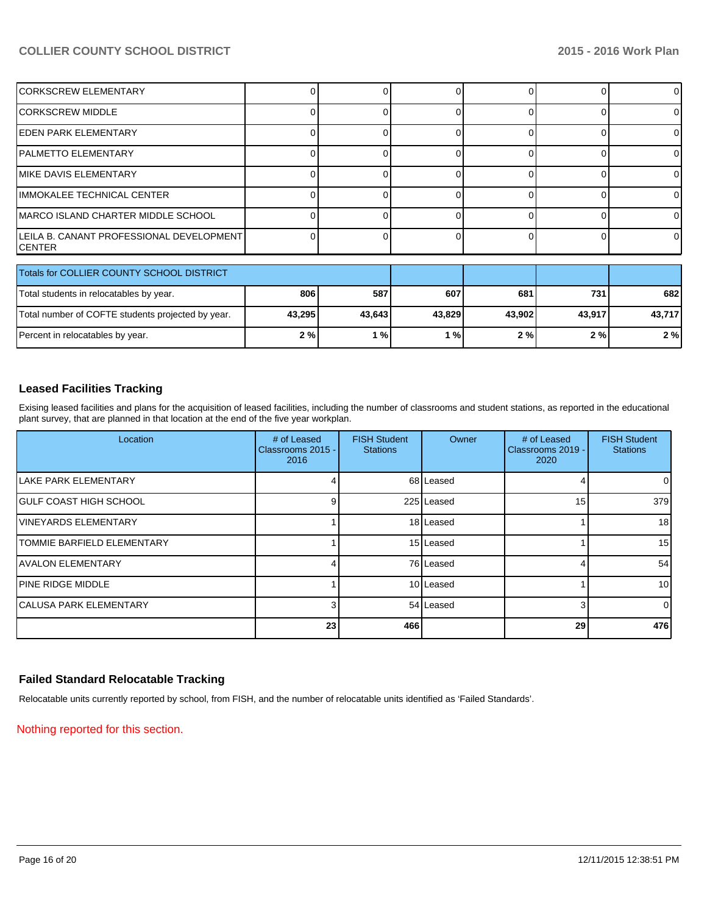| <b>CORKSCREW ELEMENTARY</b>                         |  |  |  |
|-----------------------------------------------------|--|--|--|
| ICORKSCREW MIDDLE                                   |  |  |  |
| IEDEN PARK ELEMENTARY                               |  |  |  |
| IPALMETTO ELEMENTARY                                |  |  |  |
| IMIKE DAVIS ELEMENTARY                              |  |  |  |
| IIMMOKALEE TECHNICAL CENTER                         |  |  |  |
| IMARCO ISLAND CHARTER MIDDLE SCHOOL                 |  |  |  |
| LEILA B. CANANT PROFESSIONAL DEVELOPMENT<br>ICENTER |  |  |  |

| Totals for COLLIER COUNTY SCHOOL DISTRICT         |        |        |               |        |        |        |
|---------------------------------------------------|--------|--------|---------------|--------|--------|--------|
| Total students in relocatables by year.           | 806    | 587    | 607           | 681    | 731    | 682    |
| Total number of COFTE students projected by year. | 43,295 | 43.643 | 43.829        | 43.902 | 43.917 | 43.717 |
| Percent in relocatables by year.                  | 2%     | %      | $\frac{1}{2}$ | 2%     | 2 % I  | 2%     |

## **Leased Facilities Tracking**

Exising leased facilities and plans for the acquisition of leased facilities, including the number of classrooms and student stations, as reported in the educational plant survey, that are planned in that location at the end of the five year workplan.

| Location                           | # of Leased<br>Classrooms 2015 -<br>2016 | <b>FISH Student</b><br><b>Stations</b> | Owner      | # of Leased<br>Classrooms 2019 -<br>2020 | <b>FISH Student</b><br><b>Stations</b> |
|------------------------------------|------------------------------------------|----------------------------------------|------------|------------------------------------------|----------------------------------------|
| <b>ILAKE PARK ELEMENTARY</b>       |                                          |                                        | 68 Leased  |                                          | $\overline{0}$                         |
| <b>IGULF COAST HIGH SCHOOL</b>     | 9                                        |                                        | 225 Leased | 15                                       | 379                                    |
| <b>IVINEYARDS ELEMENTARY</b>       |                                          |                                        | 18 Leased  |                                          | 18                                     |
| <b>ITOMMIE BARFIELD ELEMENTARY</b> |                                          |                                        | 15 Leased  |                                          | 15 <sup>1</sup>                        |
| <b>IAVALON ELEMENTARY</b>          |                                          |                                        | 76 Leased  |                                          | 54                                     |
| <b>IPINE RIDGE MIDDLE</b>          |                                          |                                        | 10 Leased  |                                          | 10 <sup>1</sup>                        |
| <b>ICALUSA PARK ELEMENTARY</b>     | 3                                        |                                        | 54 Leased  |                                          | $\Omega$                               |
|                                    | 23                                       | 466                                    |            | 29                                       | 476                                    |

## **Failed Standard Relocatable Tracking**

Relocatable units currently reported by school, from FISH, and the number of relocatable units identified as 'Failed Standards'.

Nothing reported for this section.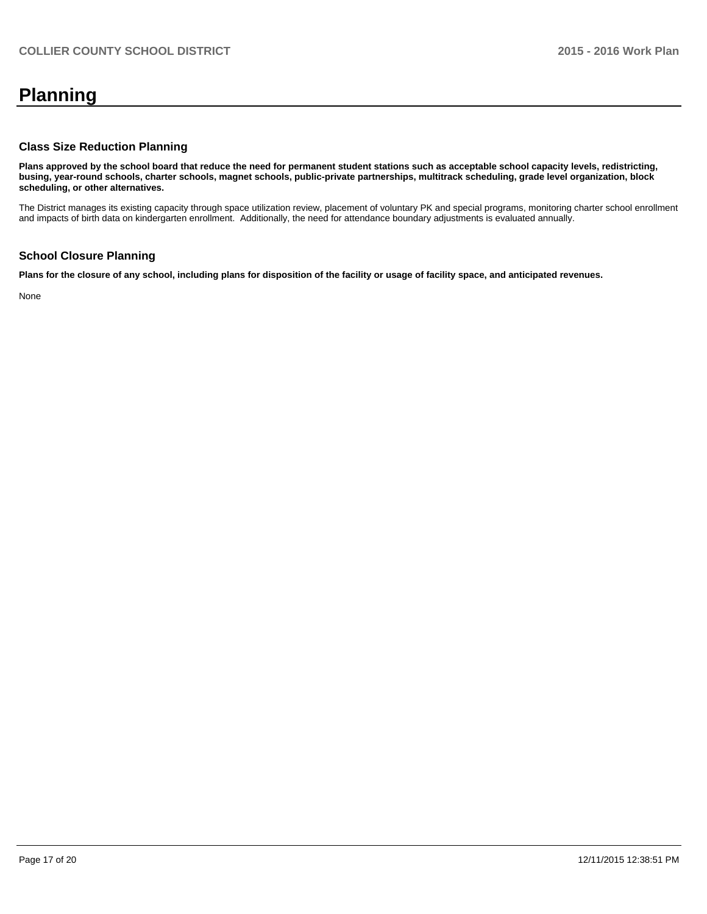# **Planning**

#### **Class Size Reduction Planning**

**Plans approved by the school board that reduce the need for permanent student stations such as acceptable school capacity levels, redistricting, busing, year-round schools, charter schools, magnet schools, public-private partnerships, multitrack scheduling, grade level organization, block scheduling, or other alternatives.**

The District manages its existing capacity through space utilization review, placement of voluntary PK and special programs, monitoring charter school enrollment and impacts of birth data on kindergarten enrollment. Additionally, the need for attendance boundary adjustments is evaluated annually.

### **School Closure Planning**

**Plans for the closure of any school, including plans for disposition of the facility or usage of facility space, and anticipated revenues.**

None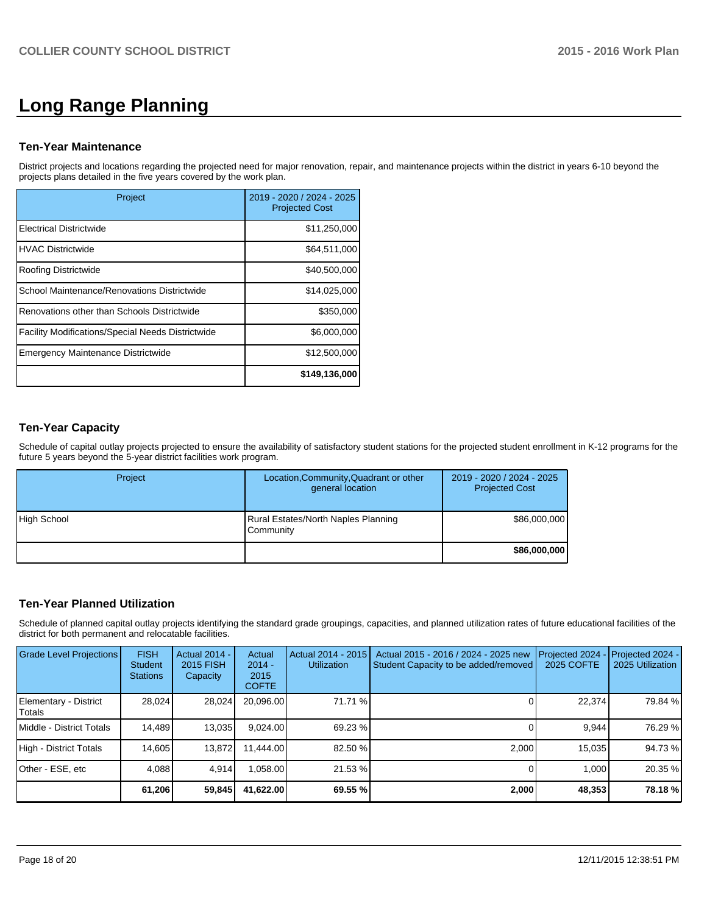# **Long Range Planning**

#### **Ten-Year Maintenance**

District projects and locations regarding the projected need for major renovation, repair, and maintenance projects within the district in years 6-10 beyond the projects plans detailed in the five years covered by the work plan.

| Project                                                  | 2019 - 2020 / 2024 - 2025<br><b>Projected Cost</b> |
|----------------------------------------------------------|----------------------------------------------------|
| Electrical Districtwide                                  | \$11,250,000                                       |
| <b>IHVAC Districtwide</b>                                | \$64,511,000                                       |
| Roofing Districtwide                                     | \$40,500,000                                       |
| School Maintenance/Renovations Districtwide              | \$14,025,000                                       |
| Renovations other than Schools Districtwide              | \$350,000                                          |
| <b>Facility Modifications/Special Needs Districtwide</b> | \$6,000,000                                        |
| <b>Emergency Maintenance Districtwide</b>                | \$12,500,000                                       |
|                                                          | \$149,136,000                                      |

## **Ten-Year Capacity**

Schedule of capital outlay projects projected to ensure the availability of satisfactory student stations for the projected student enrollment in K-12 programs for the future 5 years beyond the 5-year district facilities work program.

| Project     | Location, Community, Quadrant or other<br>general location | 2019 - 2020 / 2024 - 2025<br><b>Projected Cost</b> |
|-------------|------------------------------------------------------------|----------------------------------------------------|
| High School | <b>Rural Estates/North Naples Planning</b><br>Community    | \$86,000,000                                       |
|             |                                                            | \$86,000,000                                       |

## **Ten-Year Planned Utilization**

Schedule of planned capital outlay projects identifying the standard grade groupings, capacities, and planned utilization rates of future educational facilities of the district for both permanent and relocatable facilities.

| Grade Level Projections         | <b>FISH</b><br><b>Student</b><br><b>Stations</b> | <b>Actual 2014 -</b><br>2015 FISH<br>Capacity | Actual<br>$2014 -$<br>2015<br><b>COFTE</b> | Actual 2014 - 2015<br><b>Utilization</b> | Actual 2015 - 2016 / 2024 - 2025 new<br>Student Capacity to be added/removed | Projected 2024<br>2025 COFTE | Projected 2024 -<br>2025 Utilization |
|---------------------------------|--------------------------------------------------|-----------------------------------------------|--------------------------------------------|------------------------------------------|------------------------------------------------------------------------------|------------------------------|--------------------------------------|
| Elementary - District<br>Totals | 28,024                                           | 28,024                                        | 20,096.00                                  | 71.71 %                                  |                                                                              | 22,374                       | 79.84 %                              |
| Middle - District Totals        | 14.489                                           | 13,035                                        | 9.024.00                                   | 69.23 %                                  |                                                                              | 9.944                        | 76.29 %                              |
| High - District Totals          | 14,605                                           | 13,872                                        | 11.444.00                                  | 82.50 %                                  | 2,000                                                                        | 15,035                       | 94.73%                               |
| Other - ESE, etc                | 4.088                                            | 4.914                                         | .058.00                                    | 21.53 %                                  |                                                                              | 1,000                        | 20.35 %                              |
|                                 | 61,206                                           | 59,845                                        | 41,622.00                                  | 69.55%                                   | 2,000                                                                        | 48,353                       | 78.18%                               |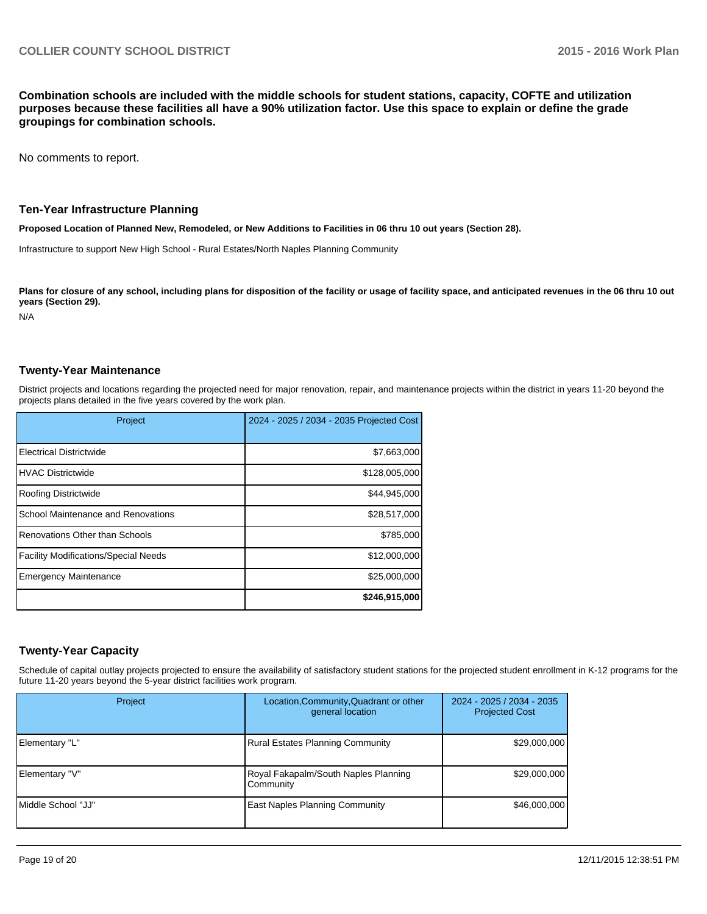**Combination schools are included with the middle schools for student stations, capacity, COFTE and utilization purposes because these facilities all have a 90% utilization factor. Use this space to explain or define the grade groupings for combination schools.**

No comments to report.

#### **Ten-Year Infrastructure Planning**

**Proposed Location of Planned New, Remodeled, or New Additions to Facilities in 06 thru 10 out years (Section 28).**

Infrastructure to support New High School - Rural Estates/North Naples Planning Community

Plans for closure of any school, including plans for disposition of the facility or usage of facility space, and anticipated revenues in the 06 thru 10 out **years (Section 29).**

N/A

#### **Twenty-Year Maintenance**

District projects and locations regarding the projected need for major renovation, repair, and maintenance projects within the district in years 11-20 beyond the projects plans detailed in the five years covered by the work plan.

| Project                                     | 2024 - 2025 / 2034 - 2035 Projected Cost |
|---------------------------------------------|------------------------------------------|
| <b>Electrical Districtwide</b>              | \$7,663,000                              |
| <b>HVAC Districtwide</b>                    | \$128,005,000                            |
| Roofing Districtwide                        | \$44,945,000                             |
| School Maintenance and Renovations          | \$28,517,000                             |
| Renovations Other than Schools              | \$785,000                                |
| <b>Facility Modifications/Special Needs</b> | \$12,000,000                             |
| <b>Emergency Maintenance</b>                | \$25,000,000                             |
|                                             | \$246,915,000                            |

#### **Twenty-Year Capacity**

Schedule of capital outlay projects projected to ensure the availability of satisfactory student stations for the projected student enrollment in K-12 programs for the future 11-20 years beyond the 5-year district facilities work program.

| Project             | Location, Community, Quadrant or other<br>general location | 2024 - 2025 / 2034 - 2035<br><b>Projected Cost</b> |
|---------------------|------------------------------------------------------------|----------------------------------------------------|
| Elementary "L"      | <b>Rural Estates Planning Community</b>                    | \$29,000,000                                       |
| Elementary "V"      | Royal Fakapalm/South Naples Planning<br>Community          | \$29,000,000                                       |
| IMiddle School "JJ" | <b>East Naples Planning Community</b>                      | \$46,000,000                                       |